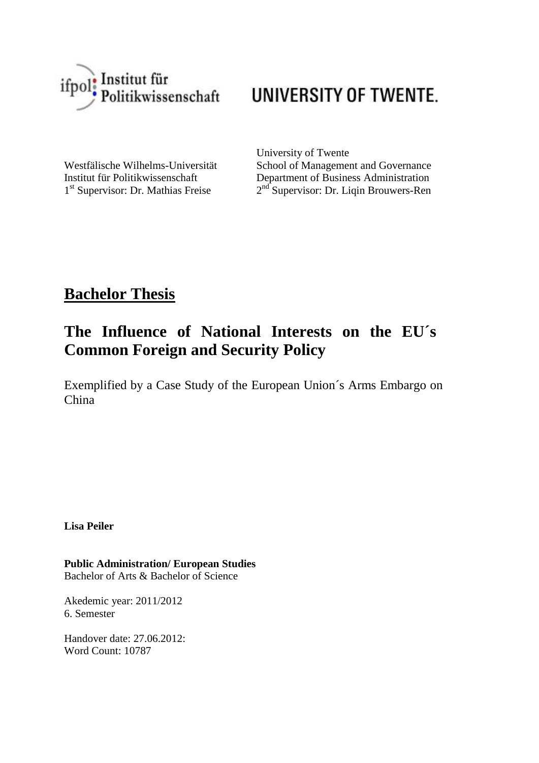

# UNIVERSITY OF TWENTE.

1<sup>st</sup> Supervisor: Dr. Mathias Freise 2

University of Twente Westfälische Wilhelms-Universität School of Management and Governance Institut für Politikwissenschaft Department of Business Administration  $2<sup>nd</sup>$  Supervisor: Dr. Liqin Brouwers-Ren

# **Bachelor Thesis**

# **The Influence of National Interests on the EU´s Common Foreign and Security Policy**

Exemplified by a Case Study of the European Union´s Arms Embargo on China

**Lisa Peiler**

**Public Administration/ European Studies** Bachelor of Arts & Bachelor of Science

Akedemic year: 2011/2012 6. Semester

Handover date: 27.06.2012: Word Count: 10787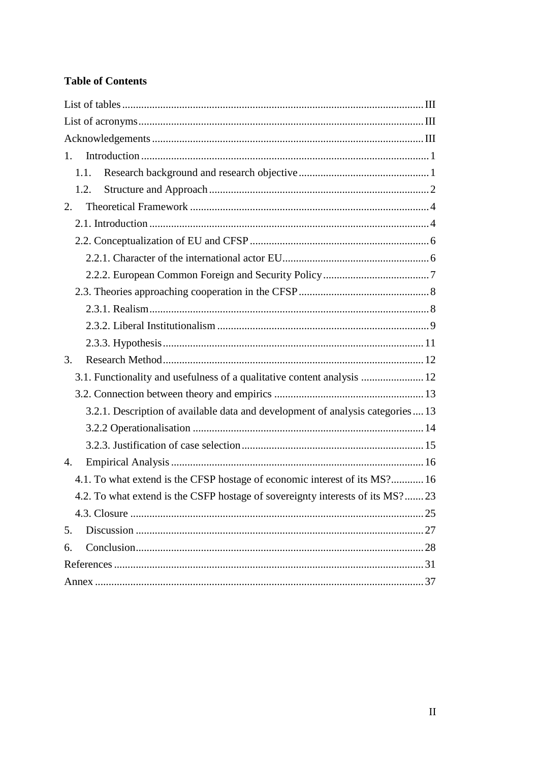# **Table of Contents**

| 1.                                                                             |
|--------------------------------------------------------------------------------|
| 1.1.                                                                           |
| 1.2.                                                                           |
| 2.                                                                             |
|                                                                                |
|                                                                                |
|                                                                                |
|                                                                                |
|                                                                                |
|                                                                                |
|                                                                                |
|                                                                                |
| 3.                                                                             |
| 3.1. Functionality and usefulness of a qualitative content analysis  12        |
|                                                                                |
| 3.2.1. Description of available data and development of analysis categories 13 |
|                                                                                |
|                                                                                |
| 4.                                                                             |
| 4.1. To what extend is the CFSP hostage of economic interest of its MS? 16     |
| 4.2. To what extend is the CSFP hostage of sovereignty interests of its MS?23  |
|                                                                                |
| 5.                                                                             |
| 6.                                                                             |
|                                                                                |
|                                                                                |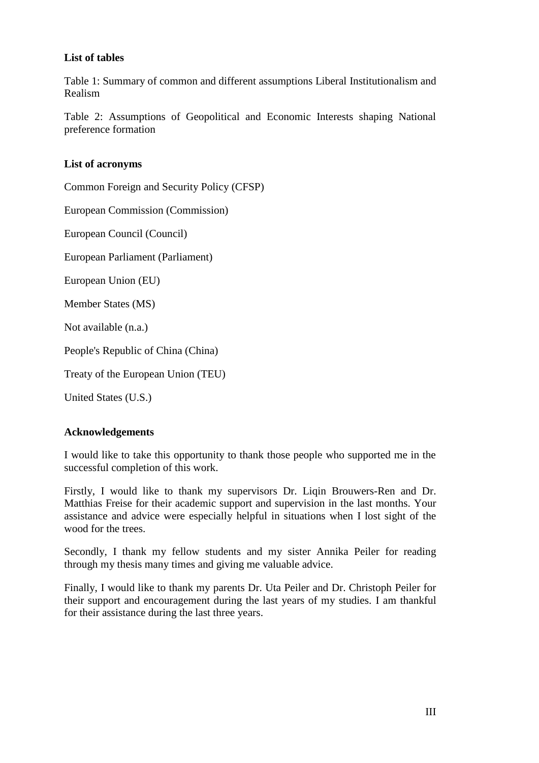### <span id="page-2-0"></span>**List of tables**

Table 1: Summary of common and different assumptions Liberal Institutionalism and Realism

Table 2: Assumptions of Geopolitical and Economic Interests shaping National preference formation

### <span id="page-2-1"></span>**List of acronyms**

Common Foreign and Security Policy (CFSP)

European Commission (Commission)

European Council (Council)

European Parliament (Parliament)

European Union (EU)

Member States (MS)

Not available (n.a.)

People's Republic of China (China)

Treaty of the European Union (TEU)

United States (U.S.)

### <span id="page-2-2"></span>**Acknowledgements**

I would like to take this opportunity to thank those people who supported me in the successful completion of this work.

Firstly, I would like to thank my supervisors Dr. Liqin Brouwers-Ren and Dr. Matthias Freise for their academic support and supervision in the last months. Your assistance and advice were especially helpful in situations when I lost sight of the wood for the trees.

Secondly, I thank my fellow students and my sister Annika Peiler for reading through my thesis many times and giving me valuable advice.

Finally, I would like to thank my parents Dr. Uta Peiler and Dr. Christoph Peiler for their support and encouragement during the last years of my studies. I am thankful for their assistance during the last three years.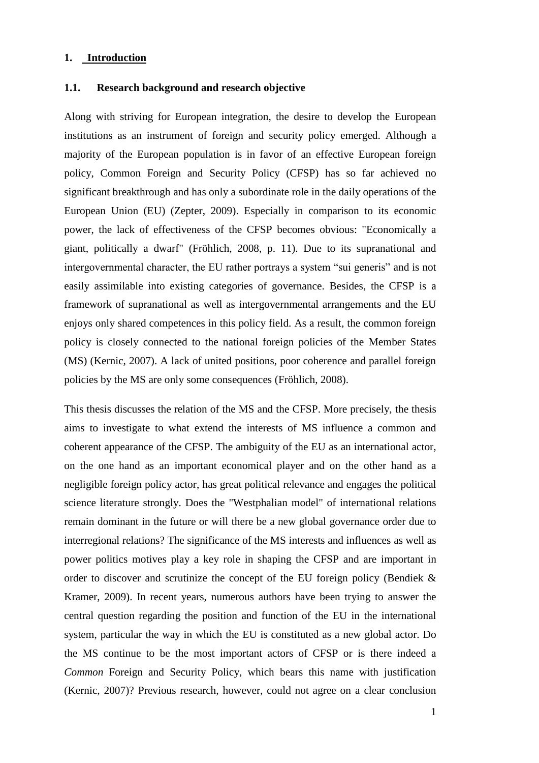#### <span id="page-3-0"></span>**1. Introduction**

#### <span id="page-3-1"></span>**1.1. Research background and research objective**

Along with striving for European integration, the desire to develop the European institutions as an instrument of foreign and security policy emerged. Although a majority of the European population is in favor of an effective European foreign policy, Common Foreign and Security Policy (CFSP) has so far achieved no significant breakthrough and has only a subordinate role in the daily operations of the European Union (EU) (Zepter, 2009). Especially in comparison to its economic power, the lack of effectiveness of the CFSP becomes obvious: "Economically a giant, politically a dwarf" (Fröhlich, 2008, p. 11). Due to its supranational and intergovernmental character, the EU rather portrays a system "sui generis" and is not easily assimilable into existing categories of governance. Besides, the CFSP is a framework of supranational as well as intergovernmental arrangements and the EU enjoys only shared competences in this policy field. As a result, the common foreign policy is closely connected to the national foreign policies of the Member States (MS) (Kernic, 2007). A lack of united positions, poor coherence and parallel foreign policies by the MS are only some consequences (Fröhlich, 2008).

This thesis discusses the relation of the MS and the CFSP. More precisely, the thesis aims to investigate to what extend the interests of MS influence a common and coherent appearance of the CFSP. The ambiguity of the EU as an international actor, on the one hand as an important economical player and on the other hand as a negligible foreign policy actor, has great political relevance and engages the political science literature strongly. Does the "Westphalian model" of international relations remain dominant in the future or will there be a new global governance order due to interregional relations? The significance of the MS interests and influences as well as power politics motives play a key role in shaping the CFSP and are important in order to discover and scrutinize the concept of the EU foreign policy (Bendiek & Kramer, 2009). In recent years, numerous authors have been trying to answer the central question regarding the position and function of the EU in the international system, particular the way in which the EU is constituted as a new global actor. Do the MS continue to be the most important actors of CFSP or is there indeed a *Common* Foreign and Security Policy, which bears this name with justification (Kernic, 2007)? Previous research, however, could not agree on a clear conclusion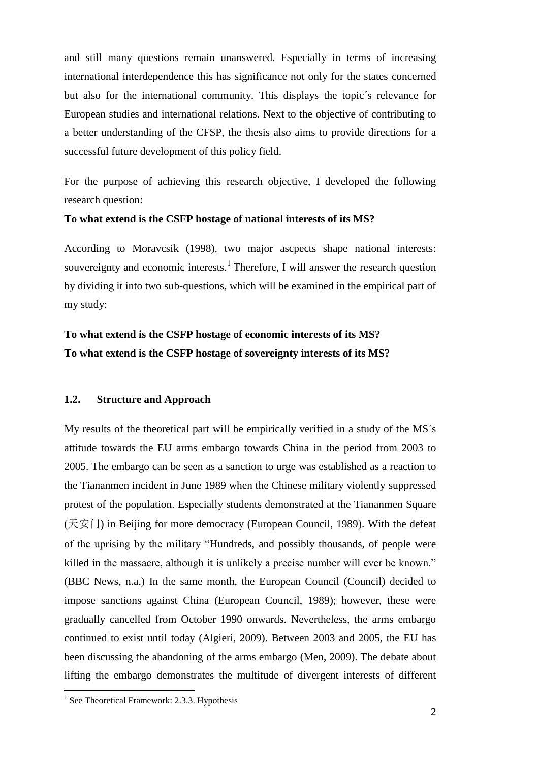and still many questions remain unanswered. Especially in terms of increasing international interdependence this has significance not only for the states concerned but also for the international community. This displays the topic´s relevance for European studies and international relations. Next to the objective of contributing to a better understanding of the CFSP, the thesis also aims to provide directions for a successful future development of this policy field.

For the purpose of achieving this research objective, I developed the following research question:

#### **To what extend is the CSFP hostage of national interests of its MS?**

According to Moravcsik (1998), two major ascpects shape national interests: souvereignty and economic interests.<sup>1</sup> Therefore, I will answer the research question by dividing it into two sub-questions, which will be examined in the empirical part of my study:

# **To what extend is the CSFP hostage of economic interests of its MS? To what extend is the CSFP hostage of sovereignty interests of its MS?**

#### <span id="page-4-0"></span>**1.2. Structure and Approach**

My results of the theoretical part will be empirically verified in a study of the MS´s attitude towards the EU arms embargo towards China in the period from 2003 to 2005. The embargo can be seen as a sanction to urge was established as a reaction to the Tiananmen incident in June 1989 when the Chinese military violently suppressed protest of the population. Especially students demonstrated at the Tiananmen Square (天安门) in Beijing for more democracy (European Council, 1989). With the defeat of the uprising by the military "Hundreds, and possibly thousands, of people were killed in the massacre, although it is unlikely a precise number will ever be known." (BBC News, n.a.) In the same month, the European Council (Council) decided to impose sanctions against China (European Council, 1989); however, these were gradually cancelled from October 1990 onwards. Nevertheless, the arms embargo continued to exist until today (Algieri, 2009). Between 2003 and 2005, the EU has been discussing the abandoning of the arms embargo (Men, 2009). The debate about lifting the embargo demonstrates the multitude of divergent interests of different

<sup>&</sup>lt;sup>1</sup> See Theoretical Framework: 2.3.3. Hypothesis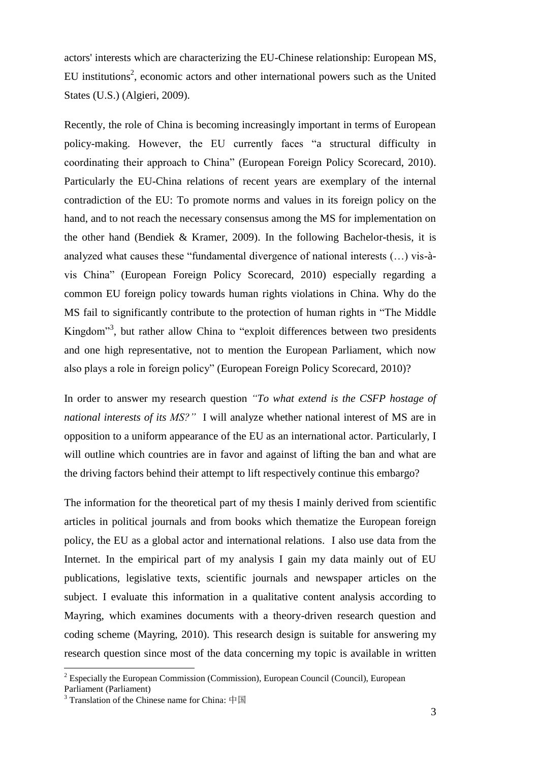actors' interests which are characterizing the EU-Chinese relationship: European MS, EU institutions<sup>2</sup>, economic actors and other international powers such as the United States (U.S.) (Algieri, 2009).

Recently, the role of China is becoming increasingly important in terms of European policy-making. However, the EU currently faces "a structural difficulty in coordinating their approach to China" (European Foreign Policy Scorecard, 2010). Particularly the EU-China relations of recent years are exemplary of the internal contradiction of the EU: To promote norms and values in its foreign policy on the hand, and to not reach the necessary consensus among the MS for implementation on the other hand (Bendiek & Kramer, 2009). In the following Bachelor-thesis, it is analyzed what causes these "fundamental divergence of national interests (…) vis-àvis China" (European Foreign Policy Scorecard, 2010) especially regarding a common EU foreign policy towards human rights violations in China. Why do the MS fail to significantly contribute to the protection of human rights in "The Middle Kingdom<sup>3</sup>, but rather allow China to "exploit differences between two presidents and one high representative, not to mention the European Parliament, which now also plays a role in foreign policy" (European Foreign Policy Scorecard, 2010)?

In order to answer my research question *"To what extend is the CSFP hostage of national interests of its MS?"* I will analyze whether national interest of MS are in opposition to a uniform appearance of the EU as an international actor. Particularly, I will outline which countries are in favor and against of lifting the ban and what are the driving factors behind their attempt to lift respectively continue this embargo?

The information for the theoretical part of my thesis I mainly derived from scientific articles in political journals and from books which thematize the European foreign policy, the EU as a global actor and international relations. I also use data from the Internet. In the empirical part of my analysis I gain my data mainly out of EU publications, legislative texts, scientific journals and newspaper articles on the subject. I evaluate this information in a qualitative content analysis according to Mayring, which examines documents with a theory-driven research question and coding scheme (Mayring, 2010). This research design is suitable for answering my research question since most of the data concerning my topic is available in written

<sup>&</sup>lt;sup>2</sup> Especially the European Commission (Commission), European Council (Council), European Parliament (Parliament)

<sup>&</sup>lt;sup>3</sup> Translation of the Chinese name for China:  $\# \boxtimes$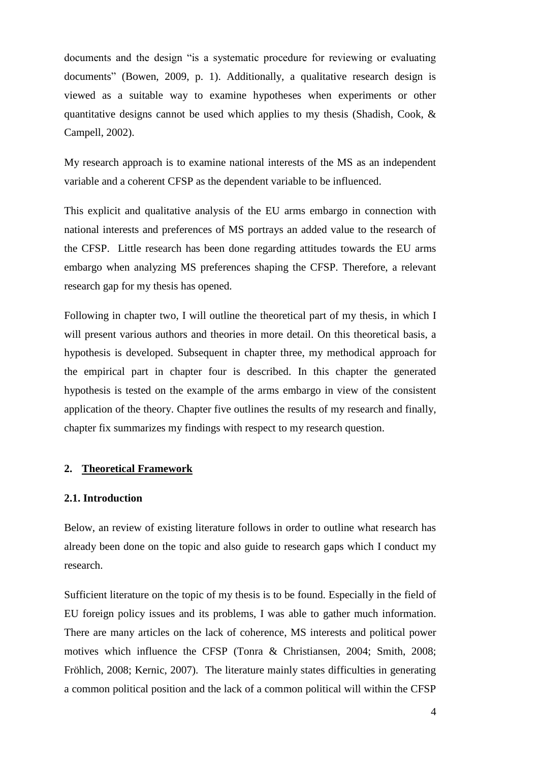documents and the design "is a systematic procedure for reviewing or evaluating documents" (Bowen, 2009, p. 1). Additionally, a qualitative research design is viewed as a suitable way to examine hypotheses when experiments or other quantitative designs cannot be used which applies to my thesis (Shadish, Cook, & Campell, 2002).

My research approach is to examine national interests of the MS as an independent variable and a coherent CFSP as the dependent variable to be influenced.

This explicit and qualitative analysis of the EU arms embargo in connection with national interests and preferences of MS portrays an added value to the research of the CFSP. Little research has been done regarding attitudes towards the EU arms embargo when analyzing MS preferences shaping the CFSP. Therefore, a relevant research gap for my thesis has opened.

Following in chapter two, I will outline the theoretical part of my thesis, in which I will present various authors and theories in more detail. On this theoretical basis, a hypothesis is developed. Subsequent in chapter three, my methodical approach for the empirical part in chapter four is described. In this chapter the generated hypothesis is tested on the example of the arms embargo in view of the consistent application of the theory. Chapter five outlines the results of my research and finally, chapter fix summarizes my findings with respect to my research question.

#### <span id="page-6-0"></span>**2. Theoretical Framework**

#### <span id="page-6-1"></span>**2.1. Introduction**

Below, an review of existing literature follows in order to outline what research has already been done on the topic and also guide to research gaps which I conduct my research.

Sufficient literature on the topic of my thesis is to be found. Especially in the field of EU foreign policy issues and its problems, I was able to gather much information. There are many articles on the lack of coherence, MS interests and political power motives which influence the CFSP (Tonra & Christiansen, 2004; Smith, 2008; Fröhlich, 2008; Kernic, 2007). The literature mainly states difficulties in generating a common political position and the lack of a common political will within the CFSP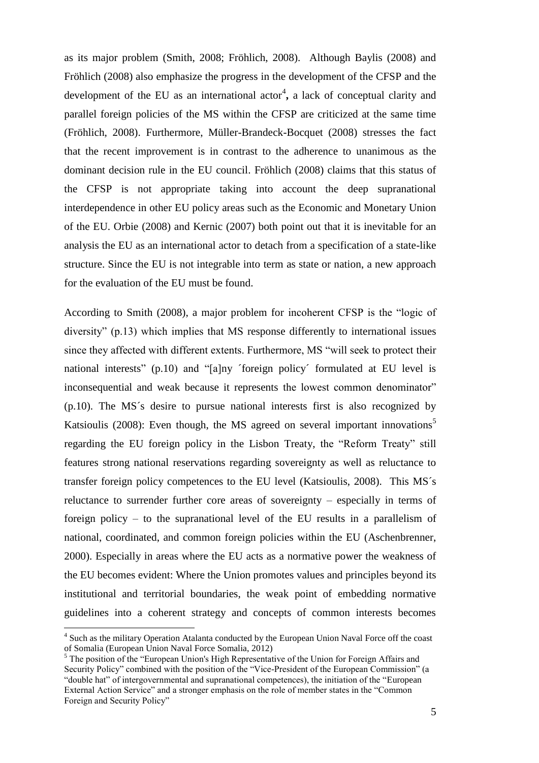as its major problem (Smith, 2008; Fröhlich, 2008). Although Baylis (2008) and Fröhlich (2008) also emphasize the progress in the development of the CFSP and the development of the EU as an international actor<sup>4</sup>, a lack of conceptual clarity and parallel foreign policies of the MS within the CFSP are criticized at the same time (Fröhlich, 2008). Furthermore, Müller-Brandeck-Bocquet (2008) stresses the fact that the recent improvement is in contrast to the adherence to unanimous as the dominant decision rule in the EU council. Fröhlich (2008) claims that this status of the CFSP is not appropriate taking into account the deep supranational interdependence in other EU policy areas such as the Economic and Monetary Union of the EU. Orbie (2008) and Kernic (2007) both point out that it is inevitable for an analysis the EU as an international actor to detach from a specification of a state-like structure. Since the EU is not integrable into term as state or nation, a new approach for the evaluation of the EU must be found.

According to Smith (2008), a major problem for incoherent CFSP is the "logic of diversity" (p.13) which implies that MS response differently to international issues since they affected with different extents. Furthermore, MS "will seek to protect their national interests" (p.10) and "[a]ny ´foreign policy´ formulated at EU level is inconsequential and weak because it represents the lowest common denominator" (p.10). The MS´s desire to pursue national interests first is also recognized by Katsioulis (2008): Even though, the MS agreed on several important innovations<sup>5</sup> regarding the EU foreign policy in the Lisbon Treaty, the "Reform Treaty" still features strong national reservations regarding sovereignty as well as reluctance to transfer foreign policy competences to the EU level (Katsioulis, 2008). This MS´s reluctance to surrender further core areas of sovereignty – especially in terms of foreign policy – to the supranational level of the EU results in a parallelism of national, coordinated, and common foreign policies within the EU (Aschenbrenner, 2000). Especially in areas where the EU acts as a normative power the weakness of the EU becomes evident: Where the Union promotes values and principles beyond its institutional and territorial boundaries, the weak point of embedding normative guidelines into a coherent strategy and concepts of common interests becomes

<sup>&</sup>lt;sup>4</sup> Such as the military Operation Atalanta conducted by the European Union Naval Force off the coast of Somalia (European Union Naval Force Somalia, 2012)

<sup>&</sup>lt;sup>5</sup> The position of the "European Union's High Representative of the Union for Foreign Affairs and Security Policy" combined with the position of the "Vice-President of the European Commission" (a "double hat" of intergovernmental and supranational competences), the initiation of the "European External Action Service" and a stronger emphasis on the role of member states in the "Common Foreign and Security Policy"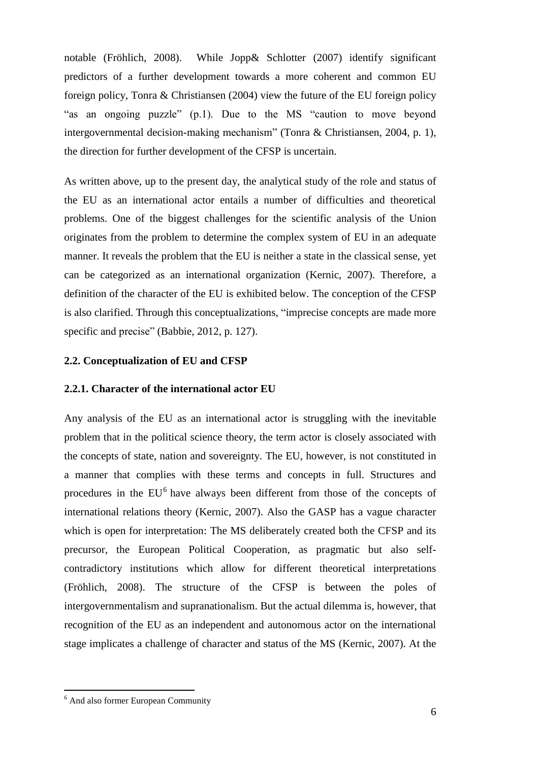notable (Fröhlich, 2008). While Jopp& Schlotter (2007) identify significant predictors of a further development towards a more coherent and common EU foreign policy, Tonra & Christiansen (2004) view the future of the EU foreign policy "as an ongoing puzzle" (p.1). Due to the MS "caution to move beyond intergovernmental decision-making mechanism" (Tonra & Christiansen, 2004, p. 1), the direction for further development of the CFSP is uncertain.

As written above, up to the present day, the analytical study of the role and status of the EU as an international actor entails a number of difficulties and theoretical problems. One of the biggest challenges for the scientific analysis of the Union originates from the problem to determine the complex system of EU in an adequate manner. It reveals the problem that the EU is neither a state in the classical sense, yet can be categorized as an international organization (Kernic, 2007). Therefore, a definition of the character of the EU is exhibited below. The conception of the CFSP is also clarified. Through this conceptualizations, "imprecise concepts are made more specific and precise" (Babbie, 2012, p. 127).

#### <span id="page-8-0"></span>**2.2. Conceptualization of EU and CFSP**

#### <span id="page-8-1"></span>**2.2.1. Character of the international actor EU**

Any analysis of the EU as an international actor is struggling with the inevitable problem that in the political science theory, the term actor is closely associated with the concepts of state, nation and sovereignty. The EU, however, is not constituted in a manner that complies with these terms and concepts in full. Structures and procedures in the  $EU^6$  have always been different from those of the concepts of international relations theory (Kernic, 2007). Also the GASP has a vague character which is open for interpretation: The MS deliberately created both the CFSP and its precursor, the European Political Cooperation, as pragmatic but also selfcontradictory institutions which allow for different theoretical interpretations (Fröhlich, 2008). The structure of the CFSP is between the poles of intergovernmentalism and supranationalism. But the actual dilemma is, however, that recognition of the EU as an independent and autonomous actor on the international stage implicates a challenge of character and status of the MS (Kernic, 2007). At the

<sup>6</sup> And also former European Community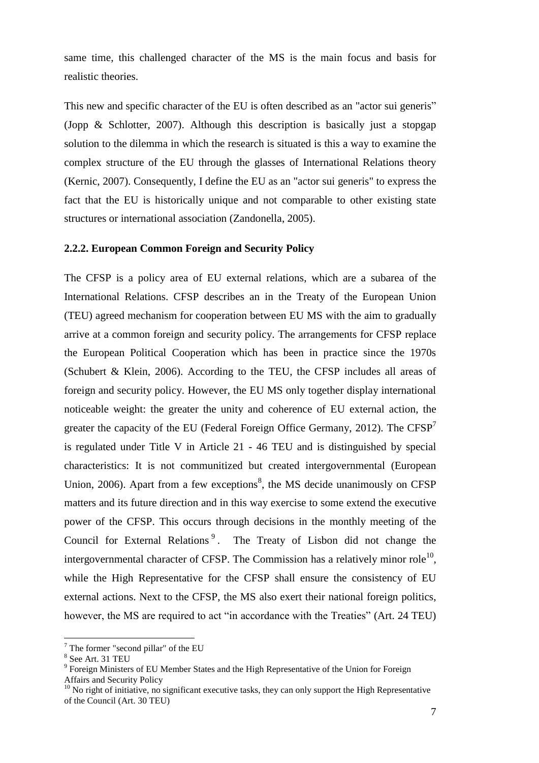same time, this challenged character of the MS is the main focus and basis for realistic theories.

This new and specific character of the EU is often described as an "actor sui generis" (Jopp & Schlotter, 2007). Although this description is basically just a stopgap solution to the dilemma in which the research is situated is this a way to examine the complex structure of the EU through the glasses of International Relations theory (Kernic, 2007). Consequently, I define the EU as an "actor sui generis" to express the fact that the EU is historically unique and not comparable to other existing state structures or international association (Zandonella, 2005).

#### <span id="page-9-0"></span>**2.2.2. European Common Foreign and Security Policy**

The CFSP is a policy area of EU external relations, which are a subarea of the International Relations. CFSP describes an in the Treaty of the European Union (TEU) agreed mechanism for cooperation between EU MS with the aim to gradually arrive at a common foreign and security policy. The arrangements for CFSP replace the European Political Cooperation which has been in practice since the 1970s (Schubert & Klein, 2006). According to the TEU, the CFSP includes all areas of foreign and security policy. However, the EU MS only together display international noticeable weight: the greater the unity and coherence of EU external action, the greater the capacity of the EU (Federal Foreign Office Germany, 2012). The  $CFSP<sup>7</sup>$ is regulated under Title V in Article 21 - 46 TEU and is distinguished by special characteristics: It is not communitized but created intergovernmental (European Union, 2006). Apart from a few exceptions<sup>8</sup>, the MS decide unanimously on CFSP matters and its future direction and in this way exercise to some extend the executive power of the CFSP. This occurs through decisions in the monthly meeting of the Council for External Relations<sup>9</sup>. The Treaty of Lisbon did not change the intergovernmental character of CFSP. The Commission has a relatively minor role<sup>10</sup>, while the High Representative for the CFSP shall ensure the consistency of EU external actions. Next to the CFSP, the MS also exert their national foreign politics, however, the MS are required to act "in accordance with the Treaties" (Art. 24 TEU)

 $\overline{a}$ 

Affairs and Security Policy

<sup>7</sup> The former "second pillar" of the EU

<sup>8</sup> See Art. 31 TEU

<sup>&</sup>lt;sup>9</sup> Foreign Ministers of EU Member States and the High Representative of the Union for Foreign

 $10$  No right of initiative, no significant executive tasks, they can only support the High Representative of the Council (Art. 30 TEU)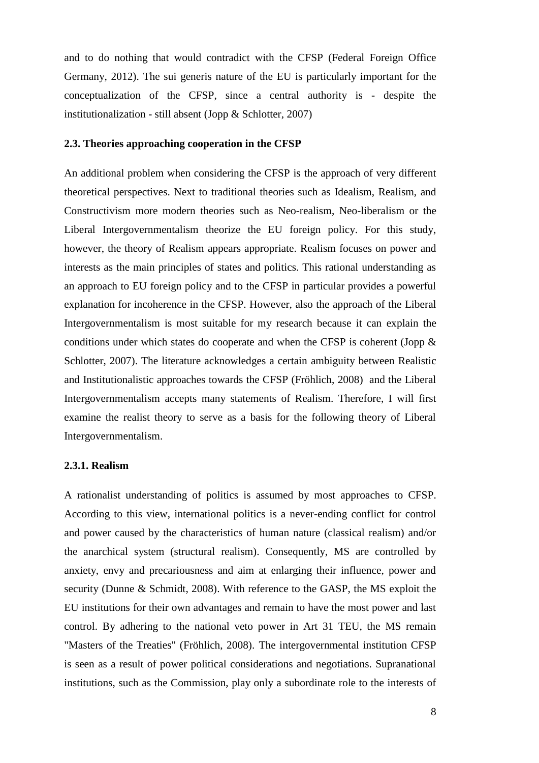and to do nothing that would contradict with the CFSP (Federal Foreign Office Germany, 2012). The sui generis nature of the EU is particularly important for the conceptualization of the CFSP, since a central authority is - despite the institutionalization - still absent (Jopp & Schlotter, 2007)

#### <span id="page-10-0"></span>**2.3. Theories approaching cooperation in the CFSP**

An additional problem when considering the CFSP is the approach of very different theoretical perspectives. Next to traditional theories such as Idealism, Realism, and Constructivism more modern theories such as Neo-realism, Neo-liberalism or the Liberal Intergovernmentalism theorize the EU foreign policy. For this study, however, the theory of Realism appears appropriate. Realism focuses on power and interests as the main principles of states and politics. This rational understanding as an approach to EU foreign policy and to the CFSP in particular provides a powerful explanation for incoherence in the CFSP. However, also the approach of the Liberal Intergovernmentalism is most suitable for my research because it can explain the conditions under which states do cooperate and when the CFSP is coherent (Jopp  $\&$ Schlotter, 2007). The literature acknowledges a certain ambiguity between Realistic and Institutionalistic approaches towards the CFSP (Fröhlich, 2008) and the Liberal Intergovernmentalism accepts many statements of Realism. Therefore, I will first examine the realist theory to serve as a basis for the following theory of Liberal Intergovernmentalism.

#### <span id="page-10-1"></span>**2.3.1. Realism**

A rationalist understanding of politics is assumed by most approaches to CFSP. According to this view, international politics is a never-ending conflict for control and power caused by the characteristics of human nature (classical realism) and/or the anarchical system (structural realism). Consequently, MS are controlled by anxiety, envy and precariousness and aim at enlarging their influence, power and security (Dunne & Schmidt, 2008). With reference to the GASP, the MS exploit the EU institutions for their own advantages and remain to have the most power and last control. By adhering to the national veto power in Art 31 TEU, the MS remain "Masters of the Treaties" (Fröhlich, 2008). The intergovernmental institution CFSP is seen as a result of power political considerations and negotiations. Supranational institutions, such as the Commission, play only a subordinate role to the interests of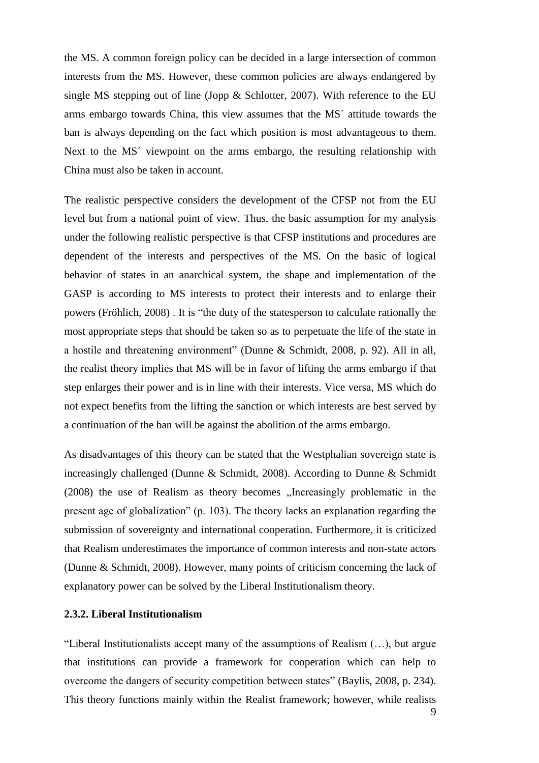the MS. A common foreign policy can be decided in a large intersection of common interests from the MS. However, these common policies are always endangered by single MS stepping out of line (Jopp & Schlotter, 2007). With reference to the EU arms embargo towards China, this view assumes that the MS´ attitude towards the ban is always depending on the fact which position is most advantageous to them. Next to the MS<sup> $\prime$ </sup> viewpoint on the arms embargo, the resulting relationship with China must also be taken in account.

The realistic perspective considers the development of the CFSP not from the EU level but from a national point of view. Thus, the basic assumption for my analysis under the following realistic perspective is that CFSP institutions and procedures are dependent of the interests and perspectives of the MS. On the basic of logical behavior of states in an anarchical system, the shape and implementation of the GASP is according to MS interests to protect their interests and to enlarge their powers (Fröhlich, 2008) . It is "the duty of the statesperson to calculate rationally the most appropriate steps that should be taken so as to perpetuate the life of the state in a hostile and threatening environment" (Dunne & Schmidt, 2008, p. 92). All in all, the realist theory implies that MS will be in favor of lifting the arms embargo if that step enlarges their power and is in line with their interests. Vice versa, MS which do not expect benefits from the lifting the sanction or which interests are best served by a continuation of the ban will be against the abolition of the arms embargo.

As disadvantages of this theory can be stated that the Westphalian sovereign state is increasingly challenged (Dunne & Schmidt, 2008). According to Dunne & Schmidt  $(2008)$  the use of Realism as theory becomes  $\Box$ Increasingly problematic in the present age of globalization" (p. 103). The theory lacks an explanation regarding the submission of sovereignty and international cooperation. Furthermore, it is criticized that Realism underestimates the importance of common interests and non-state actors (Dunne & Schmidt, 2008). However, many points of criticism concerning the lack of explanatory power can be solved by the Liberal Institutionalism theory.

#### <span id="page-11-0"></span>**2.3.2. Liberal Institutionalism**

"Liberal Institutionalists accept many of the assumptions of Realism (…), but argue that institutions can provide a framework for cooperation which can help to overcome the dangers of security competition between states" (Baylis, 2008, p. 234). This theory functions mainly within the Realist framework; however, while realists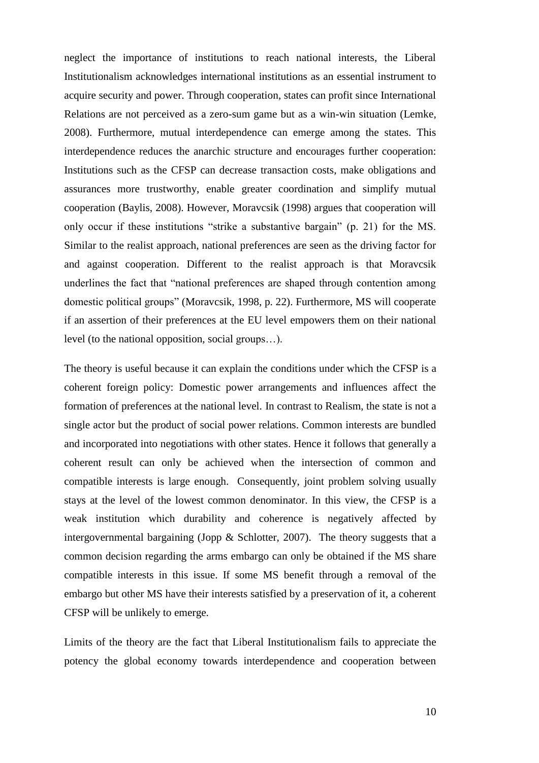neglect the importance of institutions to reach national interests, the Liberal Institutionalism acknowledges international institutions as an essential instrument to acquire security and power. Through cooperation, states can profit since International Relations are not perceived as a zero-sum game but as a win-win situation (Lemke, 2008). Furthermore, mutual interdependence can emerge among the states. This interdependence reduces the anarchic structure and encourages further cooperation: Institutions such as the CFSP can decrease transaction costs, make obligations and assurances more trustworthy, enable greater coordination and simplify mutual cooperation (Baylis, 2008). However, Moravcsik (1998) argues that cooperation will only occur if these institutions "strike a substantive bargain" (p. 21) for the MS. Similar to the realist approach, national preferences are seen as the driving factor for and against cooperation. Different to the realist approach is that Moravcsik underlines the fact that "national preferences are shaped through contention among domestic political groups" (Moravcsik, 1998, p. 22). Furthermore, MS will cooperate if an assertion of their preferences at the EU level empowers them on their national level (to the national opposition, social groups…).

The theory is useful because it can explain the conditions under which the CFSP is a coherent foreign policy: Domestic power arrangements and influences affect the formation of preferences at the national level. In contrast to Realism, the state is not a single actor but the product of social power relations. Common interests are bundled and incorporated into negotiations with other states. Hence it follows that generally a coherent result can only be achieved when the intersection of common and compatible interests is large enough. Consequently, joint problem solving usually stays at the level of the lowest common denominator. In this view, the CFSP is a weak institution which durability and coherence is negatively affected by intergovernmental bargaining (Jopp & Schlotter, 2007). The theory suggests that a common decision regarding the arms embargo can only be obtained if the MS share compatible interests in this issue. If some MS benefit through a removal of the embargo but other MS have their interests satisfied by a preservation of it, a coherent CFSP will be unlikely to emerge.

Limits of the theory are the fact that Liberal Institutionalism fails to appreciate the potency the global economy towards interdependence and cooperation between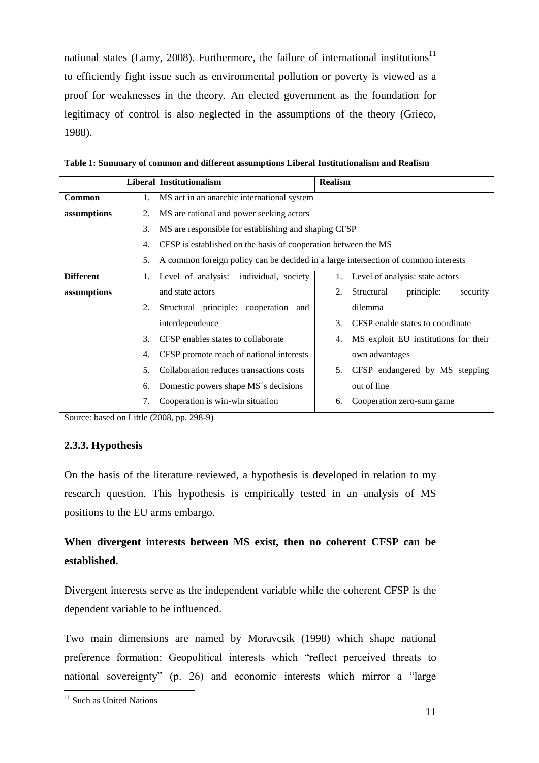national states (Lamy, 2008). Furthermore, the failure of international institutions<sup>11</sup> to efficiently fight issue such as environmental pollution or poverty is viewed as a proof for weaknesses in the theory. An elected government as the foundation for legitimacy of control is also neglected in the assumptions of the theory (Grieco, 1988).

**Table 1: Summary of common and different assumptions Liberal Institutionalism and Realism**

|                  |    | Liberal Institutionalism                                                           | <b>Realism</b> |                                      |  |
|------------------|----|------------------------------------------------------------------------------------|----------------|--------------------------------------|--|
| Common           | 1. | MS act in an anarchic international system                                         |                |                                      |  |
| assumptions      | 2. | MS are rational and power seeking actors                                           |                |                                      |  |
|                  | 3. | MS are responsible for establishing and shaping CFSP                               |                |                                      |  |
|                  | 4. | CFSP is established on the basis of cooperation between the MS                     |                |                                      |  |
|                  | 5. | A common foreign policy can be decided in a large intersection of common interests |                |                                      |  |
| <b>Different</b> | 1. | Level of analysis:<br>individual, society                                          |                | Level of analysis: state actors      |  |
| assumptions      |    | and state actors                                                                   | 2.             | principle:<br>Structural<br>security |  |
|                  | 2. | Structural principle: cooperation and                                              |                | dilemma                              |  |
|                  |    | interdependence                                                                    | 3.             | CFSP enable states to coordinate     |  |
|                  | 3. | CFSP enables states to collaborate                                                 | 4.             | MS exploit EU institutions for their |  |
|                  | 4. | CFSP promote reach of national interests                                           |                | own advantages                       |  |
|                  | 5. | Collaboration reduces transactions costs                                           | 5.             | CFSP endangered by MS stepping       |  |
|                  | 6. | Domestic powers shape MS's decisions                                               |                | out of line                          |  |
|                  |    | Cooperation is win-win situation                                                   | 6.             | Cooperation zero-sum game            |  |

Source: based on Little (2008, pp. 298-9)

#### <span id="page-13-0"></span>**2.3.3. Hypothesis**

On the basis of the literature reviewed, a hypothesis is developed in relation to my research question. This hypothesis is empirically tested in an analysis of MS positions to the EU arms embargo.

# **When divergent interests between MS exist, then no coherent CFSP can be established.**

Divergent interests serve as the independent variable while the coherent CFSP is the dependent variable to be influenced.

Two main dimensions are named by Moravcsik (1998) which shape national preference formation: Geopolitical interests which "reflect perceived threats to national sovereignty" (p. 26) and economic interests which mirror a "large

<sup>&</sup>lt;sup>11</sup> Such as United Nations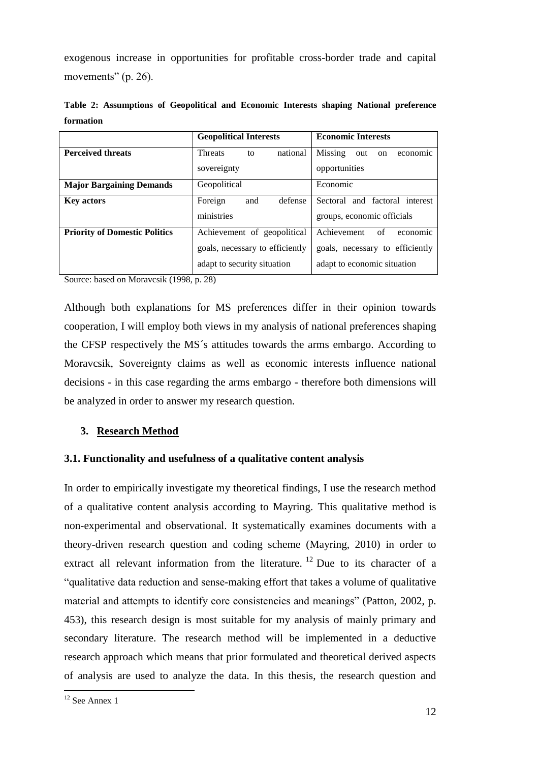exogenous increase in opportunities for profitable cross-border trade and capital movements" (p. 26).

|                                      | <b>Geopolitical Interests</b>    | <b>Economic Interests</b>        |  |
|--------------------------------------|----------------------------------|----------------------------------|--|
| <b>Perceived threats</b>             | national<br><b>Threats</b><br>to | Missing<br>out<br>on<br>economic |  |
|                                      | sovereignty                      | opportunities                    |  |
| <b>Major Bargaining Demands</b>      | Geopolitical<br>Economic         |                                  |  |
| <b>Key actors</b>                    | Foreign<br>and<br>defense        | Sectoral and factoral interest   |  |
|                                      | ministries                       | groups, economic officials       |  |
| <b>Priority of Domestic Politics</b> | Achievement of geopolitical      | Achievement<br>of<br>economic    |  |
|                                      | goals, necessary to efficiently  | goals, necessary to efficiently  |  |
|                                      | adapt to security situation      | adapt to economic situation      |  |

**Table 2: Assumptions of Geopolitical and Economic Interests shaping National preference formation**

Source: based on Moravcsik (1998, p. 28)

Although both explanations for MS preferences differ in their opinion towards cooperation, I will employ both views in my analysis of national preferences shaping the CFSP respectively the MS´s attitudes towards the arms embargo. According to Moravcsik, Sovereignty claims as well as economic interests influence national decisions - in this case regarding the arms embargo - therefore both dimensions will be analyzed in order to answer my research question.

### <span id="page-14-0"></span>**3. Research Method**

### <span id="page-14-1"></span>**3.1. Functionality and usefulness of a qualitative content analysis**

In order to empirically investigate my theoretical findings, I use the research method of a qualitative content analysis according to Mayring. This qualitative method is non-experimental and observational. It systematically examines documents with a theory-driven research question and coding scheme (Mayring, 2010) in order to extract all relevant information from the literature. <sup>12</sup> Due to its character of a "qualitative data reduction and sense-making effort that takes a volume of qualitative material and attempts to identify core consistencies and meanings" (Patton, 2002, p. 453), this research design is most suitable for my analysis of mainly primary and secondary literature. The research method will be implemented in a deductive research approach which means that prior formulated and theoretical derived aspects of analysis are used to analyze the data. In this thesis, the research question and

 $12$  See Annex 1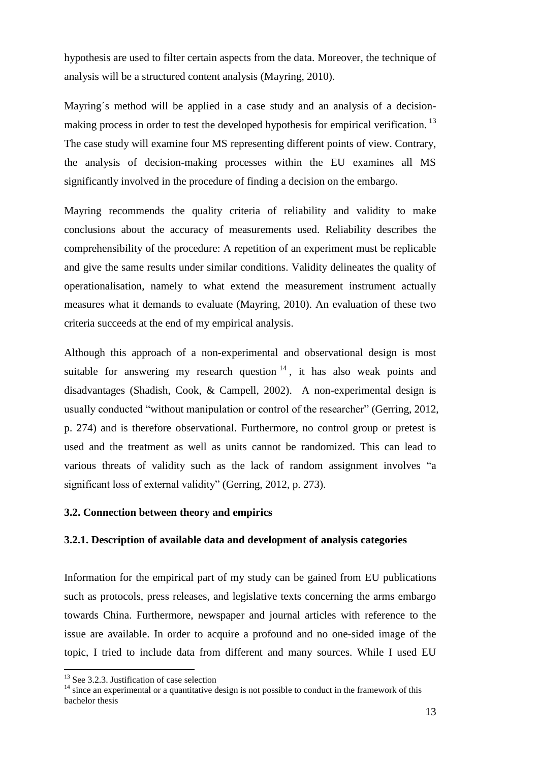hypothesis are used to filter certain aspects from the data. Moreover, the technique of analysis will be a structured content analysis (Mayring, 2010).

Mayring's method will be applied in a case study and an analysis of a decisionmaking process in order to test the developed hypothesis for empirical verification.<sup>13</sup> The case study will examine four MS representing different points of view. Contrary, the analysis of decision-making processes within the EU examines all MS significantly involved in the procedure of finding a decision on the embargo.

Mayring recommends the quality criteria of reliability and validity to make conclusions about the accuracy of measurements used. Reliability describes the comprehensibility of the procedure: A repetition of an experiment must be replicable and give the same results under similar conditions. Validity delineates the quality of operationalisation, namely to what extend the measurement instrument actually measures what it demands to evaluate (Mayring, 2010). An evaluation of these two criteria succeeds at the end of my empirical analysis.

Although this approach of a non-experimental and observational design is most suitable for answering my research question  $14$ , it has also weak points and disadvantages (Shadish, Cook, & Campell, 2002). A non-experimental design is usually conducted "without manipulation or control of the researcher" (Gerring, 2012, p. 274) and is therefore observational. Furthermore, no control group or pretest is used and the treatment as well as units cannot be randomized. This can lead to various threats of validity such as the lack of random assignment involves "a significant loss of external validity" (Gerring, 2012, p. 273).

#### <span id="page-15-0"></span>**3.2. Connection between theory and empirics**

#### <span id="page-15-1"></span>**3.2.1. Description of available data and development of analysis categories**

Information for the empirical part of my study can be gained from EU publications such as protocols, press releases, and legislative texts concerning the arms embargo towards China. Furthermore, newspaper and journal articles with reference to the issue are available. In order to acquire a profound and no one-sided image of the topic, I tried to include data from different and many sources. While I used EU

<sup>&</sup>lt;sup>13</sup> See 3.2.3. Justification of case selection

<sup>&</sup>lt;sup>14</sup> since an experimental or a quantitative design is not possible to conduct in the framework of this bachelor thesis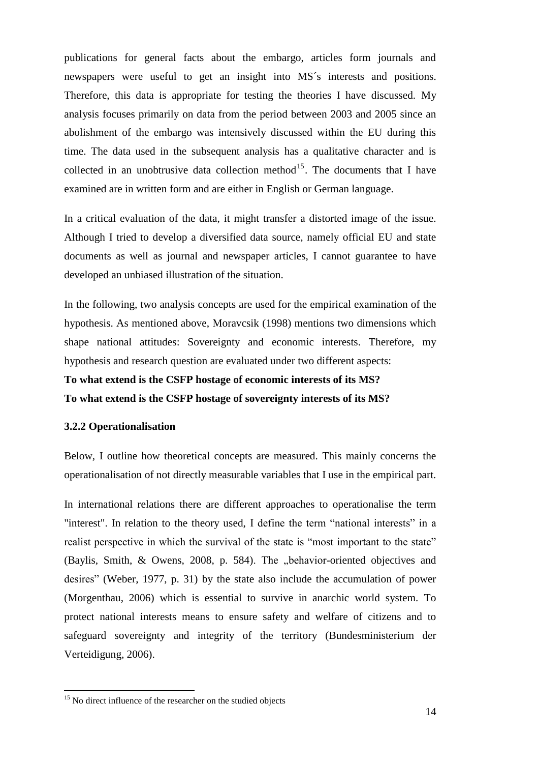publications for general facts about the embargo, articles form journals and newspapers were useful to get an insight into MS´s interests and positions. Therefore, this data is appropriate for testing the theories I have discussed. My analysis focuses primarily on data from the period between 2003 and 2005 since an abolishment of the embargo was intensively discussed within the EU during this time. The data used in the subsequent analysis has a qualitative character and is collected in an unobtrusive data collection method<sup>15</sup>. The documents that I have examined are in written form and are either in English or German language.

In a critical evaluation of the data, it might transfer a distorted image of the issue. Although I tried to develop a diversified data source, namely official EU and state documents as well as journal and newspaper articles, I cannot guarantee to have developed an unbiased illustration of the situation.

In the following, two analysis concepts are used for the empirical examination of the hypothesis. As mentioned above, Moravcsik (1998) mentions two dimensions which shape national attitudes: Sovereignty and economic interests. Therefore, my hypothesis and research question are evaluated under two different aspects:

# **To what extend is the CSFP hostage of economic interests of its MS? To what extend is the CSFP hostage of sovereignty interests of its MS?**

#### <span id="page-16-0"></span>**3.2.2 Operationalisation**

 $\overline{a}$ 

Below, I outline how theoretical concepts are measured. This mainly concerns the operationalisation of not directly measurable variables that I use in the empirical part.

In international relations there are different approaches to operationalise the term "interest". In relation to the theory used, I define the term "national interests" in a realist perspective in which the survival of the state is "most important to the state" (Baylis, Smith,  $\&$  Owens, 2008, p. 584). The "behavior-oriented objectives and desires" (Weber, 1977, p. 31) by the state also include the accumulation of power (Morgenthau, 2006) which is essential to survive in anarchic world system. To protect national interests means to ensure safety and welfare of citizens and to safeguard sovereignty and integrity of the territory (Bundesministerium der Verteidigung, 2006).

<sup>&</sup>lt;sup>15</sup> No direct influence of the researcher on the studied objects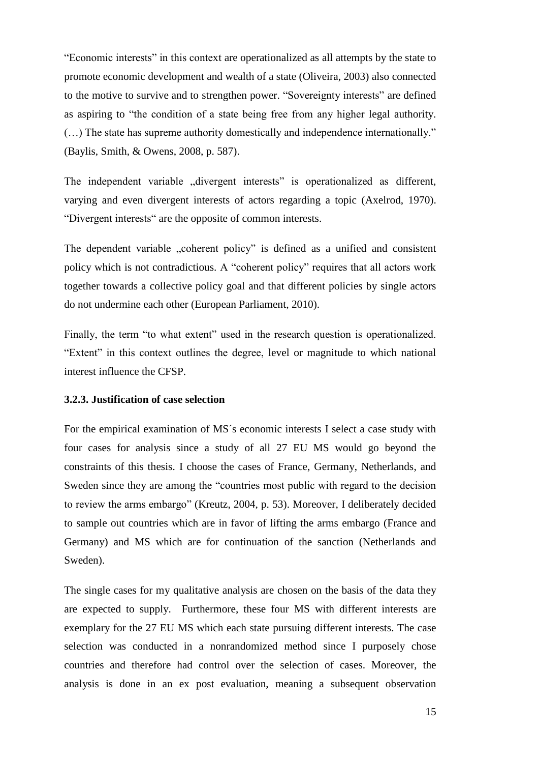"Economic interests" in this context are operationalized as all attempts by the state to promote economic development and wealth of a state (Oliveira, 2003) also connected to the motive to survive and to strengthen power. "Sovereignty interests" are defined as aspiring to "the condition of a state being free from any higher legal authority. (…) The state has supreme authority domestically and independence internationally." (Baylis, Smith, & Owens, 2008, p. 587).

The independent variable "divergent interests" is operationalized as different, varying and even divergent interests of actors regarding a topic (Axelrod, 1970). "Divergent interests" are the opposite of common interests.

The dependent variable "coherent policy" is defined as a unified and consistent policy which is not contradictious. A "coherent policy" requires that all actors work together towards a collective policy goal and that different policies by single actors do not undermine each other (European Parliament, 2010).

Finally, the term "to what extent" used in the research question is operationalized. "Extent" in this context outlines the degree, level or magnitude to which national interest influence the CFSP.

#### <span id="page-17-0"></span>**3.2.3. Justification of case selection**

For the empirical examination of MS´s economic interests I select a case study with four cases for analysis since a study of all 27 EU MS would go beyond the constraints of this thesis. I choose the cases of France, Germany, Netherlands, and Sweden since they are among the "countries most public with regard to the decision to review the arms embargo" (Kreutz, 2004, p. 53). Moreover, I deliberately decided to sample out countries which are in favor of lifting the arms embargo (France and Germany) and MS which are for continuation of the sanction (Netherlands and Sweden).

The single cases for my qualitative analysis are chosen on the basis of the data they are expected to supply. Furthermore, these four MS with different interests are exemplary for the 27 EU MS which each state pursuing different interests. The case selection was conducted in a nonrandomized method since I purposely chose countries and therefore had control over the selection of cases. Moreover, the analysis is done in an ex post evaluation, meaning a subsequent observation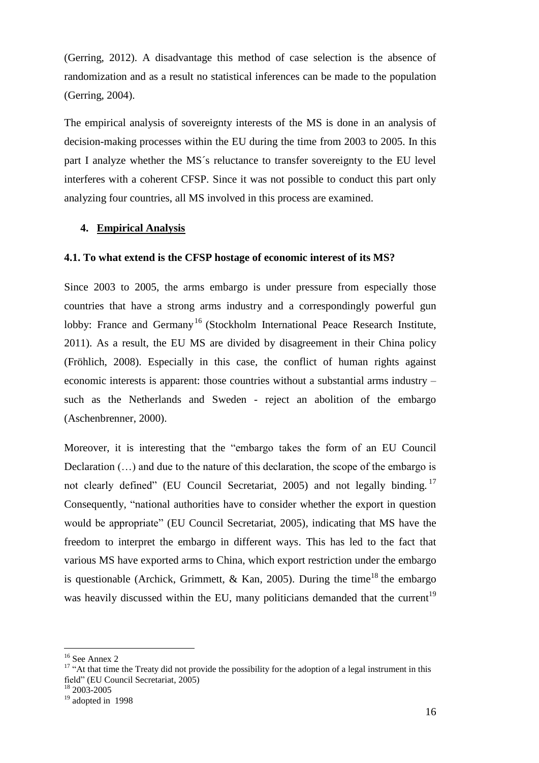(Gerring, 2012). A disadvantage this method of case selection is the absence of randomization and as a result no statistical inferences can be made to the population (Gerring, 2004).

The empirical analysis of sovereignty interests of the MS is done in an analysis of decision-making processes within the EU during the time from 2003 to 2005. In this part I analyze whether the MS´s reluctance to transfer sovereignty to the EU level interferes with a coherent CFSP. Since it was not possible to conduct this part only analyzing four countries, all MS involved in this process are examined.

#### <span id="page-18-0"></span>**4. Empirical Analysis**

#### <span id="page-18-1"></span>**4.1. To what extend is the CFSP hostage of economic interest of its MS?**

Since 2003 to 2005, the arms embargo is under pressure from especially those countries that have a strong arms industry and a correspondingly powerful gun lobby: France and Germany<sup>16</sup> (Stockholm International Peace Research Institute, 2011). As a result, the EU MS are divided by disagreement in their China policy (Fröhlich, 2008). Especially in this case, the conflict of human rights against economic interests is apparent: those countries without a substantial arms industry – such as the Netherlands and Sweden - reject an abolition of the embargo (Aschenbrenner, 2000).

Moreover, it is interesting that the "embargo takes the form of an EU Council Declaration (…) and due to the nature of this declaration, the scope of the embargo is not clearly defined" (EU Council Secretariat, 2005) and not legally binding.<sup>17</sup> Consequently, "national authorities have to consider whether the export in question would be appropriate" (EU Council Secretariat, 2005), indicating that MS have the freedom to interpret the embargo in different ways. This has led to the fact that various MS have exported arms to China, which export restriction under the embargo is questionable (Archick, Grimmett, & Kan, 2005). During the time<sup>18</sup> the embargo was heavily discussed within the EU, many politicians demanded that the current<sup>19</sup>

<sup>&</sup>lt;sup>16</sup> See Annex 2

<sup>&</sup>lt;sup>17</sup> "At that time the Treaty did not provide the possibility for the adoption of a legal instrument in this field" (EU Council Secretariat, 2005)

<sup>18</sup> 2003-2005

 $19$  adopted in 1998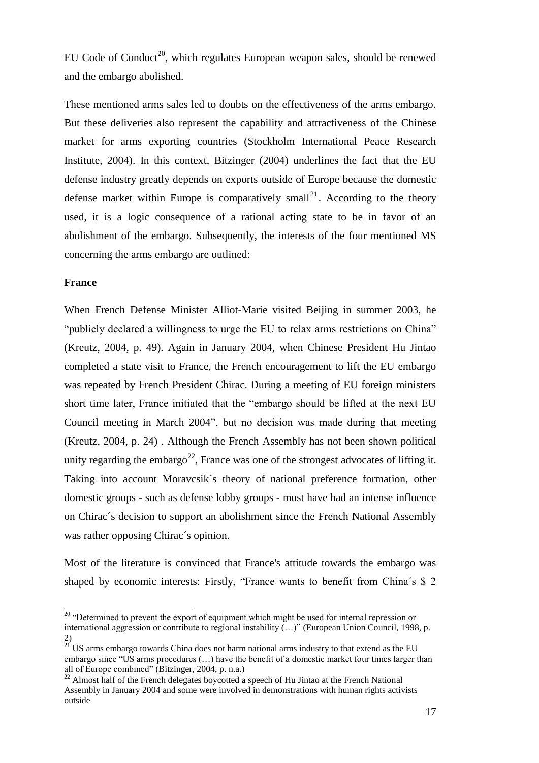EU Code of Conduct<sup>20</sup>, which regulates European weapon sales, should be renewed and the embargo abolished.

These mentioned arms sales led to doubts on the effectiveness of the arms embargo. But these deliveries also represent the capability and attractiveness of the Chinese market for arms exporting countries (Stockholm International Peace Research Institute, 2004). In this context, Bitzinger (2004) underlines the fact that the EU defense industry greatly depends on exports outside of Europe because the domestic defense market within Europe is comparatively small<sup>21</sup>. According to the theory used, it is a logic consequence of a rational acting state to be in favor of an abolishment of the embargo. Subsequently, the interests of the four mentioned MS concerning the arms embargo are outlined:

#### **France**

 $\overline{a}$ 

When French Defense Minister Alliot-Marie visited Beijing in summer 2003, he "publicly declared a willingness to urge the EU to relax arms restrictions on China" (Kreutz, 2004, p. 49). Again in January 2004, when Chinese President Hu Jintao completed a state visit to France, the French encouragement to lift the EU embargo was repeated by French President Chirac. During a meeting of EU foreign ministers short time later, France initiated that the "embargo should be lifted at the next EU Council meeting in March 2004", but no decision was made during that meeting (Kreutz, 2004, p. 24) . Although the French Assembly has not been shown political unity regarding the embargo<sup>22</sup>, France was one of the strongest advocates of lifting it. Taking into account Moravcsik´s theory of national preference formation, other domestic groups - such as defense lobby groups - must have had an intense influence on Chirac´s decision to support an abolishment since the French National Assembly was rather opposing Chirac´s opinion.

Most of the literature is convinced that France's attitude towards the embargo was shaped by economic interests: Firstly, "France wants to benefit from China´s \$ 2

<sup>&</sup>lt;sup>20</sup> "Determined to prevent the export of equipment which might be used for internal repression or international aggression or contribute to regional instability (…)" (European Union Council, 1998, p. 2)

 $21$  US arms embargo towards China does not harm national arms industry to that extend as the EU embargo since "US arms procedures (…) have the benefit of a domestic market four times larger than all of Europe combined" (Bitzinger, 2004, p. n.a.)

 $^{22}$  Almost half of the French delegates boycotted a speech of Hu Jintao at the French National Assembly in January 2004 and some were involved in demonstrations with human rights activists outside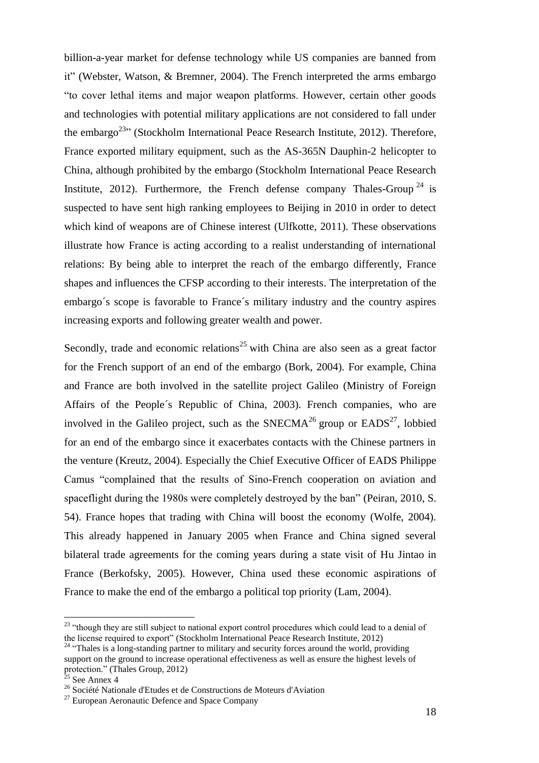billion-a-year market for defense technology while US companies are banned from it" (Webster, Watson, & Bremner, 2004). The French interpreted the arms embargo "to cover lethal items and major weapon platforms. However, certain other goods and technologies with potential military applications are not considered to fall under the embargo<sup>23</sup>" (Stockholm International Peace Research Institute, 2012). Therefore, France exported military equipment, such as the AS-365N Dauphin-2 helicopter to China, although prohibited by the embargo (Stockholm International Peace Research Institute, 2012). Furthermore, the French defense company Thales-Group<sup>24</sup> is suspected to have sent high ranking employees to Beijing in 2010 in order to detect which kind of weapons are of Chinese interest (Ulfkotte, 2011). These observations illustrate how France is acting according to a realist understanding of international relations: By being able to interpret the reach of the embargo differently, France shapes and influences the CFSP according to their interests. The interpretation of the embargo´s scope is favorable to France´s military industry and the country aspires increasing exports and following greater wealth and power.

Secondly, trade and economic relations<sup>25</sup> with China are also seen as a great factor for the French support of an end of the embargo (Bork, 2004). For example, China and France are both involved in the satellite project Galileo (Ministry of Foreign Affairs of the People´s Republic of China, 2003). French companies, who are involved in the Galileo project, such as the SNECMA<sup>26</sup> group or  $EADS<sup>27</sup>$ , lobbied for an end of the embargo since it exacerbates contacts with the Chinese partners in the venture (Kreutz, 2004). Especially the Chief Executive Officer of EADS Philippe Camus "complained that the results of Sino-French cooperation on aviation and spaceflight during the 1980s were completely destroyed by the ban" (Peiran, 2010, S. 54). France hopes that trading with China will boost the economy (Wolfe, 2004). This already happened in January 2005 when France and China signed several bilateral trade agreements for the coming years during a state visit of Hu Jintao in France (Berkofsky, 2005). However, China used these economic aspirations of France to make the end of the embargo a political top priority (Lam, 2004).

<sup>&</sup>lt;sup>23</sup> "though they are still subject to national export control procedures which could lead to a denial of the license required to export" (Stockholm International Peace Research Institute, 2012)

<sup>&</sup>lt;sup>24</sup> "Thales is a long-standing partner to military and security forces around the world, providing support on the ground to increase operational effectiveness as well as ensure the highest levels of protection." (Thales Group, 2012)

See Annex 4

<sup>26</sup> Société Nationale d'Etudes et de Constructions de Moteurs d'Aviation

 $27$  European Aeronautic Defence and Space Company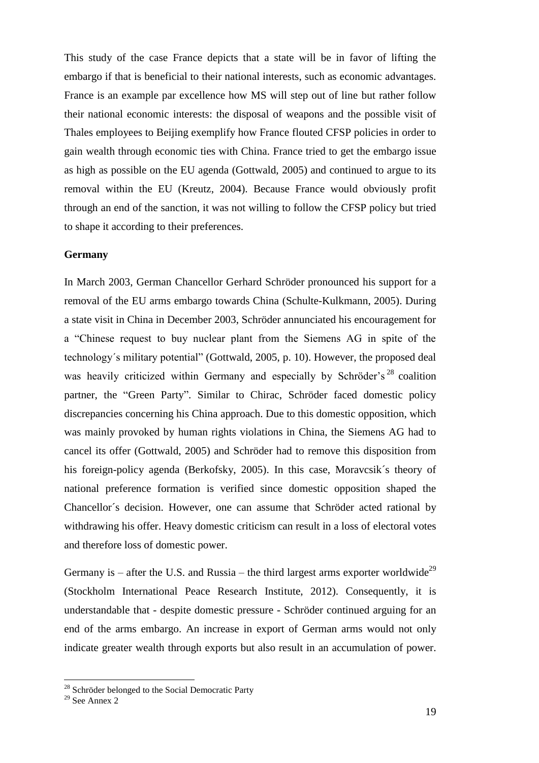This study of the case France depicts that a state will be in favor of lifting the embargo if that is beneficial to their national interests, such as economic advantages. France is an example par excellence how MS will step out of line but rather follow their national economic interests: the disposal of weapons and the possible visit of Thales employees to Beijing exemplify how France flouted CFSP policies in order to gain wealth through economic ties with China. France tried to get the embargo issue as high as possible on the EU agenda (Gottwald, 2005) and continued to argue to its removal within the EU (Kreutz, 2004). Because France would obviously profit through an end of the sanction, it was not willing to follow the CFSP policy but tried to shape it according to their preferences.

#### **Germany**

In March 2003, German Chancellor Gerhard Schröder pronounced his support for a removal of the EU arms embargo towards China (Schulte-Kulkmann, 2005). During a state visit in China in December 2003, Schröder annunciated his encouragement for a "Chinese request to buy nuclear plant from the Siemens AG in spite of the technology´s military potential" (Gottwald, 2005, p. 10). However, the proposed deal was heavily criticized within Germany and especially by Schröder's<sup>28</sup> coalition partner, the "Green Party". Similar to Chirac, Schröder faced domestic policy discrepancies concerning his China approach. Due to this domestic opposition, which was mainly provoked by human rights violations in China, the Siemens AG had to cancel its offer (Gottwald, 2005) and Schröder had to remove this disposition from his foreign-policy agenda (Berkofsky, 2005). In this case, Moravcsik's theory of national preference formation is verified since domestic opposition shaped the Chancellor´s decision. However, one can assume that Schröder acted rational by withdrawing his offer. Heavy domestic criticism can result in a loss of electoral votes and therefore loss of domestic power.

Germany is – after the U.S. and Russia – the third largest arms exporter worldwide<sup>29</sup> (Stockholm International Peace Research Institute, 2012). Consequently, it is understandable that - despite domestic pressure - Schröder continued arguing for an end of the arms embargo. An increase in export of German arms would not only indicate greater wealth through exports but also result in an accumulation of power.

 $28$  Schröder belonged to the Social Democratic Party

<sup>&</sup>lt;sup>29</sup> See Annex 2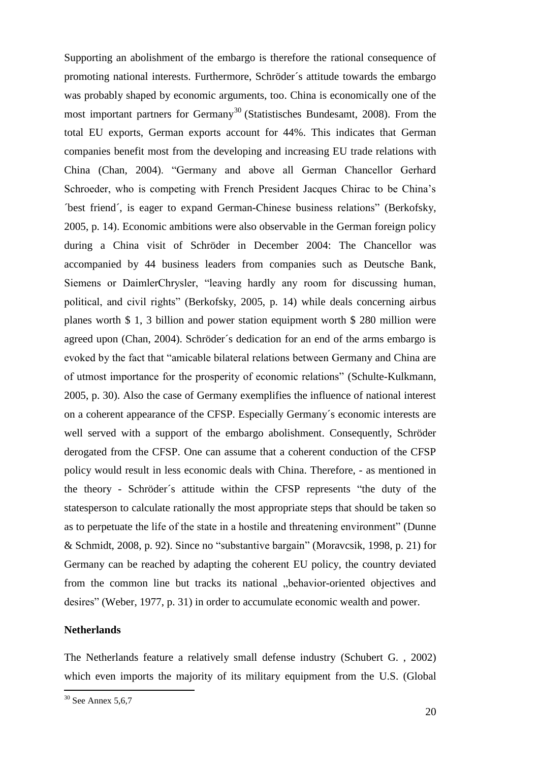Supporting an abolishment of the embargo is therefore the rational consequence of promoting national interests. Furthermore, Schröder´s attitude towards the embargo was probably shaped by economic arguments, too. China is economically one of the most important partners for Germany<sup>30</sup> (Statistisches Bundesamt, 2008). From the total EU exports, German exports account for 44%. This indicates that German companies benefit most from the developing and increasing EU trade relations with China (Chan, 2004). "Germany and above all German Chancellor Gerhard Schroeder, who is competing with French President Jacques Chirac to be China's ´best friend´, is eager to expand German-Chinese business relations" (Berkofsky, 2005, p. 14). Economic ambitions were also observable in the German foreign policy during a China visit of Schröder in December 2004: The Chancellor was accompanied by 44 business leaders from companies such as Deutsche Bank, Siemens or DaimlerChrysler, "leaving hardly any room for discussing human, political, and civil rights" (Berkofsky, 2005, p. 14) while deals concerning airbus planes worth \$ 1, 3 billion and power station equipment worth \$ 280 million were agreed upon (Chan, 2004). Schröder´s dedication for an end of the arms embargo is evoked by the fact that "amicable bilateral relations between Germany and China are of utmost importance for the prosperity of economic relations" (Schulte-Kulkmann, 2005, p. 30). Also the case of Germany exemplifies the influence of national interest on a coherent appearance of the CFSP. Especially Germany´s economic interests are well served with a support of the embargo abolishment. Consequently, Schröder derogated from the CFSP. One can assume that a coherent conduction of the CFSP policy would result in less economic deals with China. Therefore, - as mentioned in the theory - Schröder´s attitude within the CFSP represents "the duty of the statesperson to calculate rationally the most appropriate steps that should be taken so as to perpetuate the life of the state in a hostile and threatening environment" (Dunne & Schmidt, 2008, p. 92). Since no "substantive bargain" (Moravcsik, 1998, p. 21) for Germany can be reached by adapting the coherent EU policy, the country deviated from the common line but tracks its national "behavior-oriented objectives and desires" (Weber, 1977, p. 31) in order to accumulate economic wealth and power.

#### **Netherlands**

The Netherlands feature a relatively small defense industry (Schubert G. , 2002) which even imports the majority of its military equipment from the U.S. (Global

 $30$  See Annex 5,6,7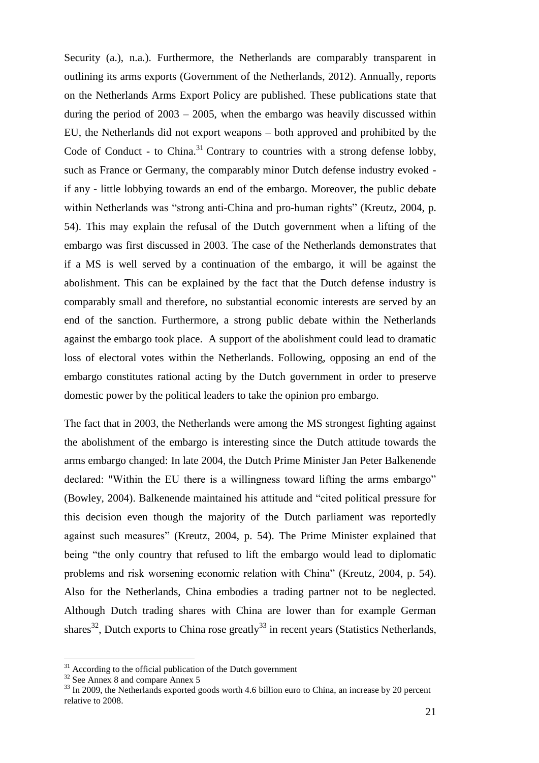Security (a.), n.a.). Furthermore, the Netherlands are comparably transparent in outlining its arms exports (Government of the Netherlands, 2012). Annually, reports on the Netherlands Arms Export Policy are published. These publications state that during the period of  $2003 - 2005$ , when the embargo was heavily discussed within EU, the Netherlands did not export weapons – both approved and prohibited by the Code of Conduct - to China.<sup>31</sup> Contrary to countries with a strong defense lobby, such as France or Germany, the comparably minor Dutch defense industry evoked if any - little lobbying towards an end of the embargo. Moreover, the public debate within Netherlands was "strong anti-China and pro-human rights" (Kreutz, 2004, p. 54). This may explain the refusal of the Dutch government when a lifting of the embargo was first discussed in 2003. The case of the Netherlands demonstrates that if a MS is well served by a continuation of the embargo, it will be against the abolishment. This can be explained by the fact that the Dutch defense industry is comparably small and therefore, no substantial economic interests are served by an end of the sanction. Furthermore, a strong public debate within the Netherlands against the embargo took place. A support of the abolishment could lead to dramatic loss of electoral votes within the Netherlands. Following, opposing an end of the embargo constitutes rational acting by the Dutch government in order to preserve domestic power by the political leaders to take the opinion pro embargo.

The fact that in 2003, the Netherlands were among the MS strongest fighting against the abolishment of the embargo is interesting since the Dutch attitude towards the arms embargo changed: In late 2004, the Dutch Prime Minister Jan Peter Balkenende declared: "Within the EU there is a willingness toward lifting the arms embargo" (Bowley, 2004). Balkenende maintained his attitude and "cited political pressure for this decision even though the majority of the Dutch parliament was reportedly against such measures" (Kreutz, 2004, p. 54). The Prime Minister explained that being "the only country that refused to lift the embargo would lead to diplomatic problems and risk worsening economic relation with China" (Kreutz, 2004, p. 54). Also for the Netherlands, China embodies a trading partner not to be neglected. Although Dutch trading shares with China are lower than for example German shares<sup>32</sup>, Dutch exports to China rose greatly<sup>33</sup> in recent years (Statistics Netherlands,

 $31$  According to the official publication of the Dutch government

 $32$  See Annex 8 and compare Annex 5

<sup>&</sup>lt;sup>33</sup> In 2009, the Netherlands exported goods worth 4.6 billion euro to China, an increase by 20 percent relative to 2008.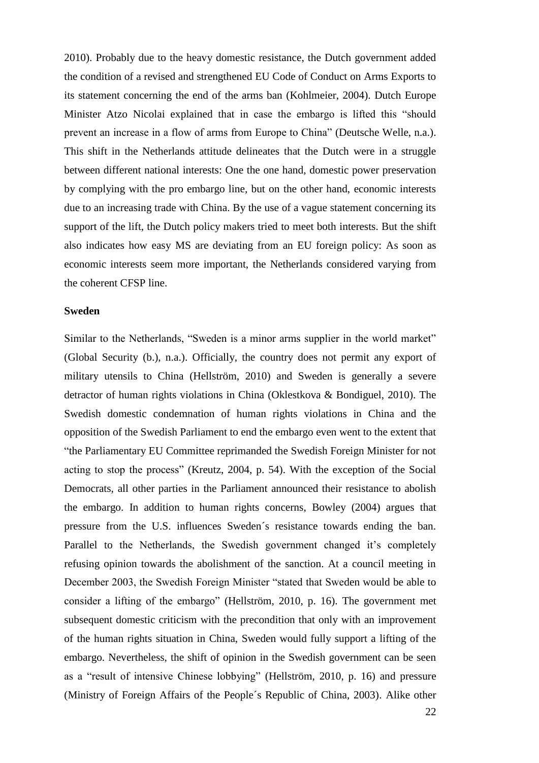2010). Probably due to the heavy domestic resistance, the Dutch government added the condition of a revised and strengthened EU Code of Conduct on Arms Exports to its statement concerning the end of the arms ban (Kohlmeier, 2004). Dutch Europe Minister Atzo Nicolai explained that in case the embargo is lifted this "should prevent an increase in a flow of arms from Europe to China" (Deutsche Welle, n.a.). This shift in the Netherlands attitude delineates that the Dutch were in a struggle between different national interests: One the one hand, domestic power preservation by complying with the pro embargo line, but on the other hand, economic interests due to an increasing trade with China. By the use of a vague statement concerning its support of the lift, the Dutch policy makers tried to meet both interests. But the shift also indicates how easy MS are deviating from an EU foreign policy: As soon as economic interests seem more important, the Netherlands considered varying from the coherent CFSP line.

#### **Sweden**

Similar to the Netherlands, "Sweden is a minor arms supplier in the world market" (Global Security (b.), n.a.). Officially, the country does not permit any export of military utensils to China (Hellström, 2010) and Sweden is generally a severe detractor of human rights violations in China (Oklestkova & Bondiguel, 2010). The Swedish domestic condemnation of human rights violations in China and the opposition of the Swedish Parliament to end the embargo even went to the extent that "the Parliamentary EU Committee reprimanded the Swedish Foreign Minister for not acting to stop the process" (Kreutz, 2004, p. 54). With the exception of the Social Democrats, all other parties in the Parliament announced their resistance to abolish the embargo. In addition to human rights concerns, Bowley (2004) argues that pressure from the U.S. influences Sweden´s resistance towards ending the ban. Parallel to the Netherlands, the Swedish government changed it's completely refusing opinion towards the abolishment of the sanction. At a council meeting in December 2003, the Swedish Foreign Minister "stated that Sweden would be able to consider a lifting of the embargo" (Hellström, 2010, p. 16). The government met subsequent domestic criticism with the precondition that only with an improvement of the human rights situation in China, Sweden would fully support a lifting of the embargo. Nevertheless, the shift of opinion in the Swedish government can be seen as a "result of intensive Chinese lobbying" (Hellström, 2010, p. 16) and pressure (Ministry of Foreign Affairs of the People´s Republic of China, 2003). Alike other

22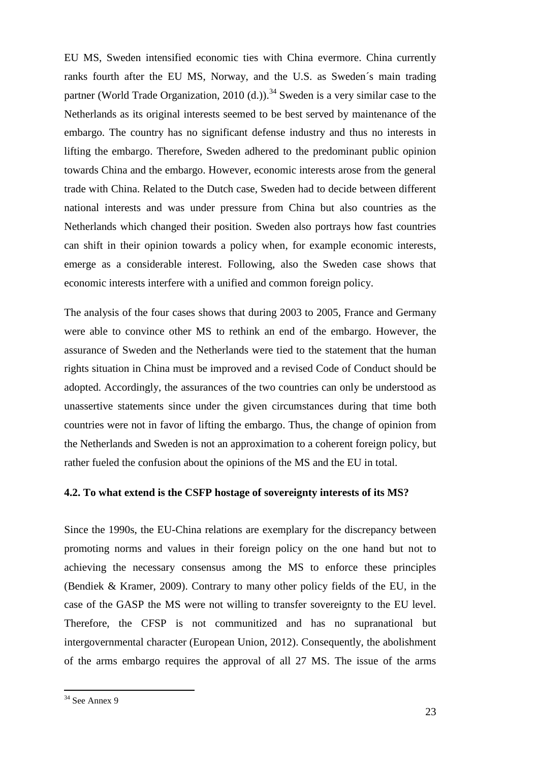EU MS, Sweden intensified economic ties with China evermore. China currently ranks fourth after the EU MS, Norway, and the U.S. as Sweden´s main trading partner (World Trade Organization, 2010 (d.)).<sup>34</sup> Sweden is a very similar case to the Netherlands as its original interests seemed to be best served by maintenance of the embargo. The country has no significant defense industry and thus no interests in lifting the embargo. Therefore, Sweden adhered to the predominant public opinion towards China and the embargo. However, economic interests arose from the general trade with China. Related to the Dutch case, Sweden had to decide between different national interests and was under pressure from China but also countries as the Netherlands which changed their position. Sweden also portrays how fast countries can shift in their opinion towards a policy when, for example economic interests, emerge as a considerable interest. Following, also the Sweden case shows that economic interests interfere with a unified and common foreign policy.

The analysis of the four cases shows that during 2003 to 2005, France and Germany were able to convince other MS to rethink an end of the embargo. However, the assurance of Sweden and the Netherlands were tied to the statement that the human rights situation in China must be improved and a revised Code of Conduct should be adopted. Accordingly, the assurances of the two countries can only be understood as unassertive statements since under the given circumstances during that time both countries were not in favor of lifting the embargo. Thus, the change of opinion from the Netherlands and Sweden is not an approximation to a coherent foreign policy, but rather fueled the confusion about the opinions of the MS and the EU in total.

#### <span id="page-25-0"></span>**4.2. To what extend is the CSFP hostage of sovereignty interests of its MS?**

Since the 1990s, the EU-China relations are exemplary for the discrepancy between promoting norms and values in their foreign policy on the one hand but not to achieving the necessary consensus among the MS to enforce these principles (Bendiek & Kramer, 2009). Contrary to many other policy fields of the EU, in the case of the GASP the MS were not willing to transfer sovereignty to the EU level. Therefore, the CFSP is not communitized and has no supranational but intergovernmental character (European Union, 2012). Consequently, the abolishment of the arms embargo requires the approval of all 27 MS. The issue of the arms

 $34$  See Annex 9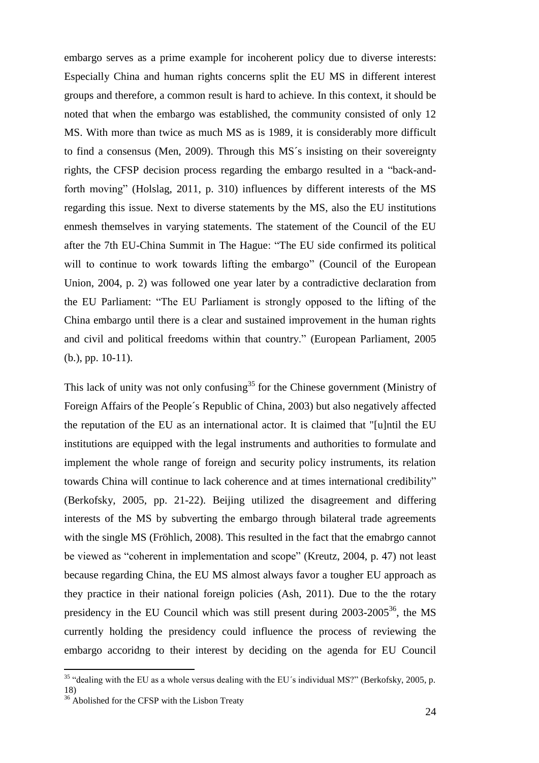embargo serves as a prime example for incoherent policy due to diverse interests: Especially China and human rights concerns split the EU MS in different interest groups and therefore, a common result is hard to achieve. In this context, it should be noted that when the embargo was established, the community consisted of only 12 MS. With more than twice as much MS as is 1989, it is considerably more difficult to find a consensus (Men, 2009). Through this MS´s insisting on their sovereignty rights, the CFSP decision process regarding the embargo resulted in a "back-andforth moving" (Holslag, 2011, p. 310) influences by different interests of the MS regarding this issue. Next to diverse statements by the MS, also the EU institutions enmesh themselves in varying statements. The statement of the Council of the EU after the 7th EU-China Summit in The Hague: "The EU side confirmed its political will to continue to work towards lifting the embargo" (Council of the European Union, 2004, p. 2) was followed one year later by a contradictive declaration from the EU Parliament: "The EU Parliament is strongly opposed to the lifting of the China embargo until there is a clear and sustained improvement in the human rights and civil and political freedoms within that country." (European Parliament, 2005 (b.), pp. 10-11).

This lack of unity was not only confusing<sup>35</sup> for the Chinese government (Ministry of Foreign Affairs of the People´s Republic of China, 2003) but also negatively affected the reputation of the EU as an international actor. It is claimed that "[u]ntil the EU institutions are equipped with the legal instruments and authorities to formulate and implement the whole range of foreign and security policy instruments, its relation towards China will continue to lack coherence and at times international credibility" (Berkofsky, 2005, pp. 21-22). Beijing utilized the disagreement and differing interests of the MS by subverting the embargo through bilateral trade agreements with the single MS (Fröhlich, 2008). This resulted in the fact that the emabrgo cannot be viewed as "coherent in implementation and scope" (Kreutz, 2004, p. 47) not least because regarding China, the EU MS almost always favor a tougher EU approach as they practice in their national foreign policies (Ash, 2011). Due to the the rotary presidency in the EU Council which was still present during  $2003$ - $2005^{36}$ , the MS currently holding the presidency could influence the process of reviewing the embargo accoridng to their interest by deciding on the agenda for EU Council

 $35$  "dealing with the EU as a whole versus dealing with the EU's individual MS?" (Berkofsky, 2005, p. 18)

<sup>&</sup>lt;sup>36</sup> Abolished for the CFSP with the Lisbon Treaty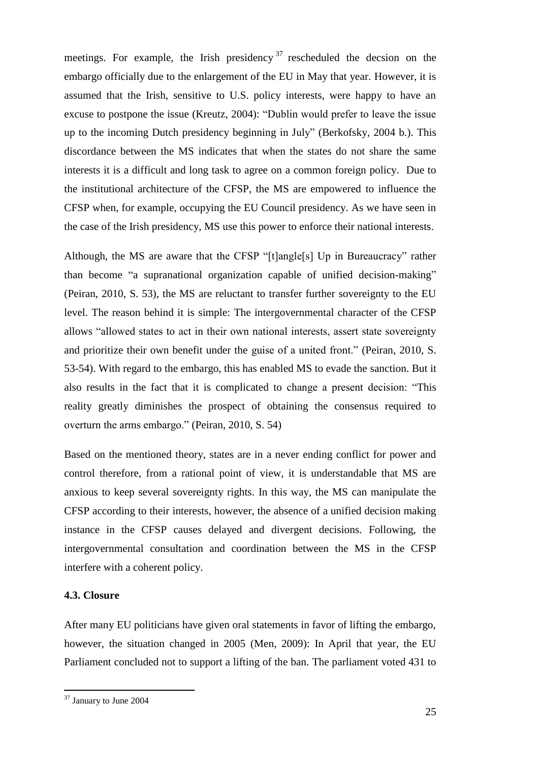meetings. For example, the Irish presidency  $37$  rescheduled the decsion on the embargo officially due to the enlargement of the EU in May that year. However, it is assumed that the Irish, sensitive to U.S. policy interests, were happy to have an excuse to postpone the issue (Kreutz, 2004): "Dublin would prefer to leave the issue up to the incoming Dutch presidency beginning in July" (Berkofsky, 2004 b.). This discordance between the MS indicates that when the states do not share the same interests it is a difficult and long task to agree on a common foreign policy. Due to the institutional architecture of the CFSP, the MS are empowered to influence the CFSP when, for example, occupying the EU Council presidency. As we have seen in the case of the Irish presidency, MS use this power to enforce their national interests.

Although, the MS are aware that the CFSP "[t]angle[s] Up in Bureaucracy" rather than become "a supranational organization capable of unified decision-making" (Peiran, 2010, S. 53), the MS are reluctant to transfer further sovereignty to the EU level. The reason behind it is simple: The intergovernmental character of the CFSP allows "allowed states to act in their own national interests, assert state sovereignty and prioritize their own benefit under the guise of a united front." (Peiran, 2010, S. 53-54). With regard to the embargo, this has enabled MS to evade the sanction. But it also results in the fact that it is complicated to change a present decision: "This reality greatly diminishes the prospect of obtaining the consensus required to overturn the arms embargo." (Peiran, 2010, S. 54)

Based on the mentioned theory, states are in a never ending conflict for power and control therefore, from a rational point of view, it is understandable that MS are anxious to keep several sovereignty rights. In this way, the MS can manipulate the CFSP according to their interests, however, the absence of a unified decision making instance in the CFSP causes delayed and divergent decisions. Following, the intergovernmental consultation and coordination between the MS in the CFSP interfere with a coherent policy.

#### <span id="page-27-0"></span>**4.3. Closure**

After many EU politicians have given oral statements in favor of lifting the embargo, however, the situation changed in 2005 (Men, 2009): In April that year, the EU Parliament concluded not to support a lifting of the ban. The parliament voted 431 to

<sup>&</sup>lt;sup>37</sup> January to June 2004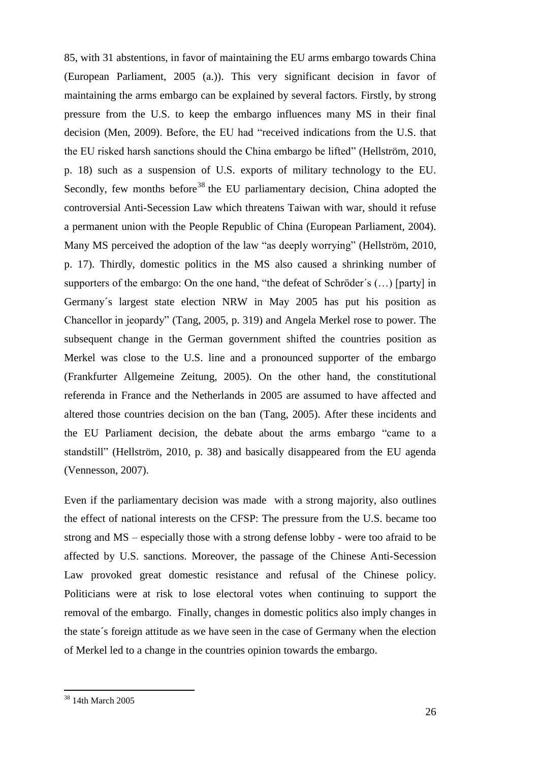85, with 31 abstentions, in favor of maintaining the EU arms embargo towards China (European Parliament, 2005 (a.)). This very significant decision in favor of maintaining the arms embargo can be explained by several factors. Firstly, by strong pressure from the U.S. to keep the embargo influences many MS in their final decision (Men, 2009). Before, the EU had "received indications from the U.S. that the EU risked harsh sanctions should the China embargo be lifted" (Hellström, 2010, p. 18) such as a suspension of U.S. exports of military technology to the EU. Secondly, few months before<sup>38</sup> the EU parliamentary decision, China adopted the controversial Anti-Secession Law which threatens Taiwan with war, should it refuse a permanent union with the People Republic of China (European Parliament, 2004). Many MS perceived the adoption of the law "as deeply worrying" (Hellström, 2010, p. 17). Thirdly, domestic politics in the MS also caused a shrinking number of supporters of the embargo: On the one hand, "the defeat of Schröder´s (…) [party] in Germany´s largest state election NRW in May 2005 has put his position as Chancellor in jeopardy" (Tang, 2005, p. 319) and Angela Merkel rose to power. The subsequent change in the German government shifted the countries position as Merkel was close to the U.S. line and a pronounced supporter of the embargo (Frankfurter Allgemeine Zeitung, 2005). On the other hand, the constitutional referenda in France and the Netherlands in 2005 are assumed to have affected and altered those countries decision on the ban (Tang, 2005). After these incidents and the EU Parliament decision, the debate about the arms embargo "came to a standstill" (Hellström, 2010, p. 38) and basically disappeared from the EU agenda (Vennesson, 2007).

Even if the parliamentary decision was made with a strong majority, also outlines the effect of national interests on the CFSP: The pressure from the U.S. became too strong and MS – especially those with a strong defense lobby - were too afraid to be affected by U.S. sanctions. Moreover, the passage of the Chinese Anti-Secession Law provoked great domestic resistance and refusal of the Chinese policy. Politicians were at risk to lose electoral votes when continuing to support the removal of the embargo. Finally, changes in domestic politics also imply changes in the state´s foreign attitude as we have seen in the case of Germany when the election of Merkel led to a change in the countries opinion towards the embargo.

<sup>38</sup> 14th March 2005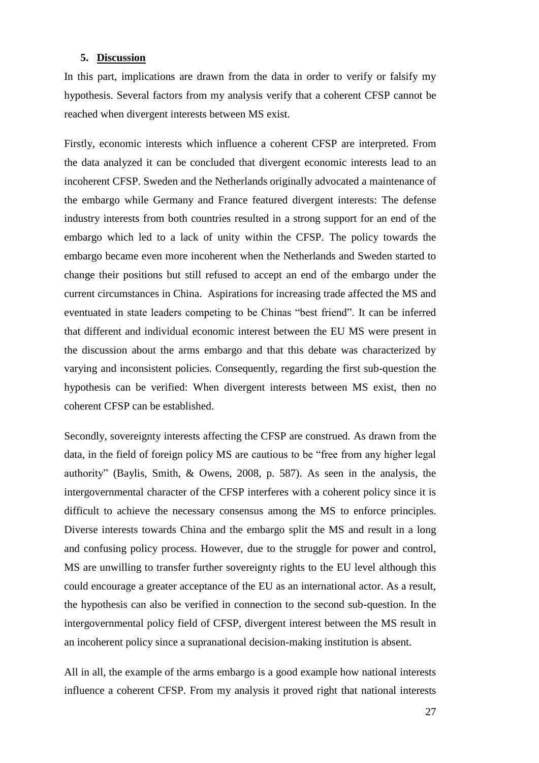#### <span id="page-29-0"></span>**5. Discussion**

In this part, implications are drawn from the data in order to verify or falsify my hypothesis. Several factors from my analysis verify that a coherent CFSP cannot be reached when divergent interests between MS exist.

Firstly, economic interests which influence a coherent CFSP are interpreted. From the data analyzed it can be concluded that divergent economic interests lead to an incoherent CFSP. Sweden and the Netherlands originally advocated a maintenance of the embargo while Germany and France featured divergent interests: The defense industry interests from both countries resulted in a strong support for an end of the embargo which led to a lack of unity within the CFSP. The policy towards the embargo became even more incoherent when the Netherlands and Sweden started to change their positions but still refused to accept an end of the embargo under the current circumstances in China. Aspirations for increasing trade affected the MS and eventuated in state leaders competing to be Chinas "best friend". It can be inferred that different and individual economic interest between the EU MS were present in the discussion about the arms embargo and that this debate was characterized by varying and inconsistent policies. Consequently, regarding the first sub-question the hypothesis can be verified: When divergent interests between MS exist, then no coherent CFSP can be established.

Secondly, sovereignty interests affecting the CFSP are construed. As drawn from the data, in the field of foreign policy MS are cautious to be "free from any higher legal authority" (Baylis, Smith, & Owens, 2008, p. 587). As seen in the analysis, the intergovernmental character of the CFSP interferes with a coherent policy since it is difficult to achieve the necessary consensus among the MS to enforce principles. Diverse interests towards China and the embargo split the MS and result in a long and confusing policy process. However, due to the struggle for power and control, MS are unwilling to transfer further sovereignty rights to the EU level although this could encourage a greater acceptance of the EU as an international actor. As a result, the hypothesis can also be verified in connection to the second sub-question. In the intergovernmental policy field of CFSP, divergent interest between the MS result in an incoherent policy since a supranational decision-making institution is absent.

All in all, the example of the arms embargo is a good example how national interests influence a coherent CFSP. From my analysis it proved right that national interests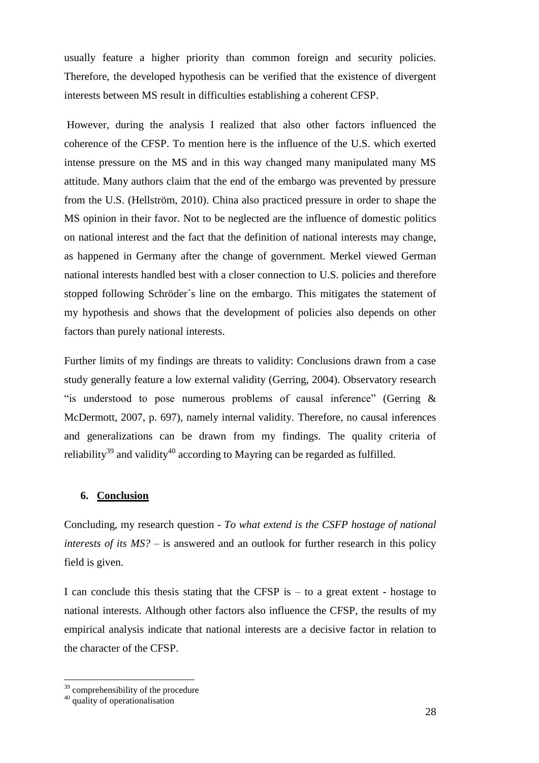usually feature a higher priority than common foreign and security policies. Therefore, the developed hypothesis can be verified that the existence of divergent interests between MS result in difficulties establishing a coherent CFSP.

However, during the analysis I realized that also other factors influenced the coherence of the CFSP. To mention here is the influence of the U.S. which exerted intense pressure on the MS and in this way changed many manipulated many MS attitude. Many authors claim that the end of the embargo was prevented by pressure from the U.S. (Hellström, 2010). China also practiced pressure in order to shape the MS opinion in their favor. Not to be neglected are the influence of domestic politics on national interest and the fact that the definition of national interests may change, as happened in Germany after the change of government. Merkel viewed German national interests handled best with a closer connection to U.S. policies and therefore stopped following Schröder´s line on the embargo. This mitigates the statement of my hypothesis and shows that the development of policies also depends on other factors than purely national interests.

Further limits of my findings are threats to validity: Conclusions drawn from a case study generally feature a low external validity (Gerring, 2004). Observatory research "is understood to pose numerous problems of causal inference" (Gerring & McDermott, 2007, p. 697), namely internal validity. Therefore, no causal inferences and generalizations can be drawn from my findings. The quality criteria of reliability<sup>39</sup> and validity<sup>40</sup> according to Mayring can be regarded as fulfilled.

### <span id="page-30-0"></span>**6. Conclusion**

Concluding, my research question - *To what extend is the CSFP hostage of national interests of its MS?* – is answered and an outlook for further research in this policy field is given.

I can conclude this thesis stating that the CFSP is  $-$  to a great extent - hostage to national interests. Although other factors also influence the CFSP, the results of my empirical analysis indicate that national interests are a decisive factor in relation to the character of the CFSP.

 $39$  comprehensibility of the procedure

<sup>40</sup> quality of operationalisation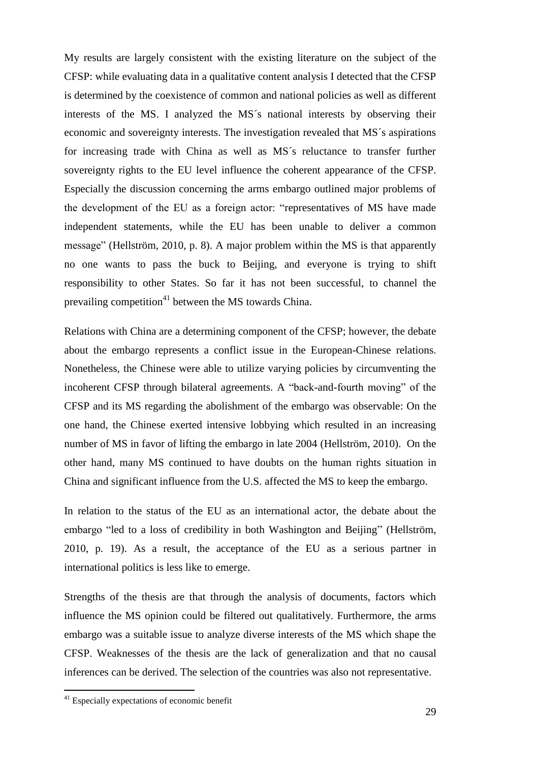My results are largely consistent with the existing literature on the subject of the CFSP: while evaluating data in a qualitative content analysis I detected that the CFSP is determined by the coexistence of common and national policies as well as different interests of the MS. I analyzed the MS´s national interests by observing their economic and sovereignty interests. The investigation revealed that MS´s aspirations for increasing trade with China as well as MS´s reluctance to transfer further sovereignty rights to the EU level influence the coherent appearance of the CFSP. Especially the discussion concerning the arms embargo outlined major problems of the development of the EU as a foreign actor: "representatives of MS have made independent statements, while the EU has been unable to deliver a common message" (Hellström, 2010, p. 8). A major problem within the MS is that apparently no one wants to pass the buck to Beijing, and everyone is trying to shift responsibility to other States. So far it has not been successful, to channel the prevailing competition<sup>41</sup> between the MS towards China.

Relations with China are a determining component of the CFSP; however, the debate about the embargo represents a conflict issue in the European-Chinese relations. Nonetheless, the Chinese were able to utilize varying policies by circumventing the incoherent CFSP through bilateral agreements. A "back-and-fourth moving" of the CFSP and its MS regarding the abolishment of the embargo was observable: On the one hand, the Chinese exerted intensive lobbying which resulted in an increasing number of MS in favor of lifting the embargo in late 2004 (Hellström, 2010). On the other hand, many MS continued to have doubts on the human rights situation in China and significant influence from the U.S. affected the MS to keep the embargo.

In relation to the status of the EU as an international actor, the debate about the embargo "led to a loss of credibility in both Washington and Beijing" (Hellström, 2010, p. 19). As a result, the acceptance of the EU as a serious partner in international politics is less like to emerge.

Strengths of the thesis are that through the analysis of documents, factors which influence the MS opinion could be filtered out qualitatively. Furthermore, the arms embargo was a suitable issue to analyze diverse interests of the MS which shape the CFSP. Weaknesses of the thesis are the lack of generalization and that no causal inferences can be derived. The selection of the countries was also not representative.

<sup>&</sup>lt;sup>41</sup> Especially expectations of economic benefit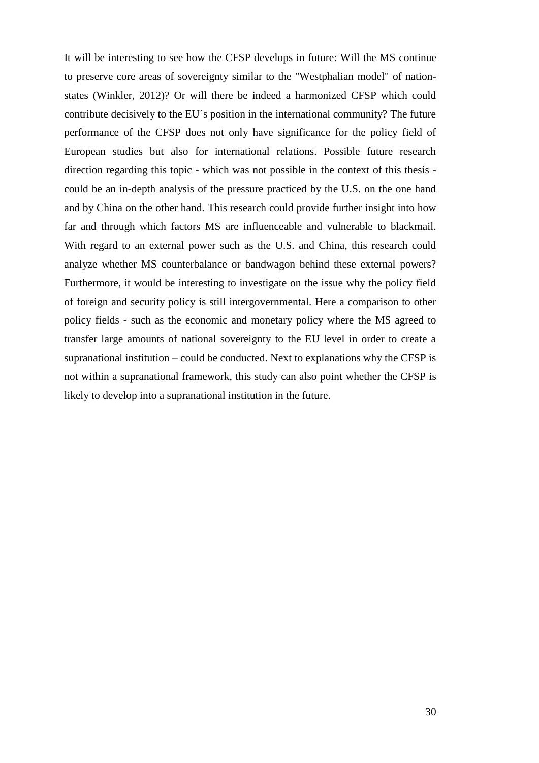It will be interesting to see how the CFSP develops in future: Will the MS continue to preserve core areas of sovereignty similar to the "Westphalian model" of nationstates (Winkler, 2012)? Or will there be indeed a harmonized CFSP which could contribute decisively to the EU´s position in the international community? The future performance of the CFSP does not only have significance for the policy field of European studies but also for international relations. Possible future research direction regarding this topic - which was not possible in the context of this thesis could be an in-depth analysis of the pressure practiced by the U.S. on the one hand and by China on the other hand. This research could provide further insight into how far and through which factors MS are influenceable and vulnerable to blackmail. With regard to an external power such as the U.S. and China, this research could analyze whether MS counterbalance or bandwagon behind these external powers? Furthermore, it would be interesting to investigate on the issue why the policy field of foreign and security policy is still intergovernmental. Here a comparison to other policy fields - such as the economic and monetary policy where the MS agreed to transfer large amounts of national sovereignty to the EU level in order to create a supranational institution – could be conducted. Next to explanations why the CFSP is not within a supranational framework, this study can also point whether the CFSP is likely to develop into a supranational institution in the future.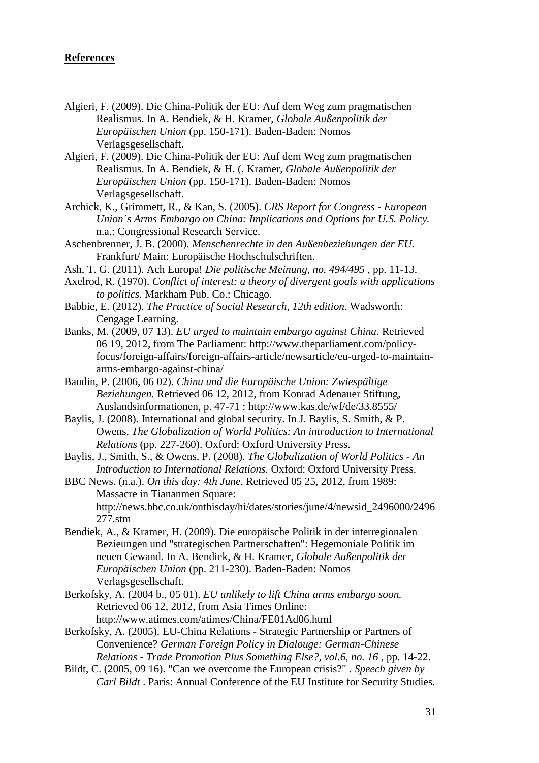#### <span id="page-33-0"></span>**References**

- Algieri, F. (2009). Die China-Politik der EU: Auf dem Weg zum pragmatischen Realismus. In A. Bendiek, & H. Kramer, *Globale Außenpolitik der Europäischen Union* (pp. 150-171). Baden-Baden: Nomos Verlagsgesellschaft.
- Algieri, F. (2009). Die China-Politik der EU: Auf dem Weg zum pragmatischen Realismus. In A. Bendiek, & H. (. Kramer, *Globale Außenpolitik der Europäischen Union* (pp. 150-171). Baden-Baden: Nomos Verlagsgesellschaft.
- Archick, K., Grimmett, R., & Kan, S. (2005). *CRS Report for Congress - European Union´s Arms Embargo on China: Implications and Options for U.S. Policy.* n.a.: Congressional Research Service.
- Aschenbrenner, J. B. (2000). *Menschenrechte in den Außenbeziehungen der EU.* Frankfurt/ Main: Europäische Hochschulschriften.
- Ash, T. G. (2011). Ach Europa! *Die politische Meinung, no. 494/495* , pp. 11-13.
- Axelrod, R. (1970). *Conflict of interest: a theory of divergent goals with applications to politics.* Markham Pub. Co.: Chicago.
- Babbie, E. (2012). *The Practice of Social Research, 12th edition.* Wadsworth: Cengage Learning.
- Banks, M. (2009, 07 13). *EU urged to maintain embargo against China.* Retrieved 06 19, 2012, from The Parliament: http://www.theparliament.com/policyfocus/foreign-affairs/foreign-affairs-article/newsarticle/eu-urged-to-maintainarms-embargo-against-china/
- Baudin, P. (2006, 06 02). *China und die Europäische Union: Zwiespältige Beziehungen.* Retrieved 06 12, 2012, from Konrad Adenauer Stiftung, Auslandsinformationen, p. 47-71 : http://www.kas.de/wf/de/33.8555/
- Baylis, J. (2008). International and global security. In J. Baylis, S. Smith, & P. Owens, *The Globalization of World Politics: An introduction to International Relations* (pp. 227-260). Oxford: Oxford University Press.

Baylis, J., Smith, S., & Owens, P. (2008). *The Globalization of World Politics - An Introduction to International Relations.* Oxford: Oxford University Press.

- BBC News. (n.a.). *On this day: 4th June*. Retrieved 05 25, 2012, from 1989: Massacre in Tiananmen Square: http://news.bbc.co.uk/onthisday/hi/dates/stories/june/4/newsid\_2496000/2496 277.stm
- Bendiek, A., & Kramer, H. (2009). Die europäische Politik in der interregionalen Bezieungen und "strategischen Partnerschaften": Hegemoniale Politik im neuen Gewand. In A. Bendiek, & H. Kramer, *Globale Außenpolitik der Europäischen Union* (pp. 211-230). Baden-Baden: Nomos Verlagsgesellschaft.
- Berkofsky, A. (2004 b., 05 01). *EU unlikely to lift China arms embargo soon.* Retrieved 06 12, 2012, from Asia Times Online: http://www.atimes.com/atimes/China/FE01Ad06.html
- Berkofsky, A. (2005). EU-China Relations Strategic Partnership or Partners of Convenience? *German Foreign Policy in Dialouge: German-Chinese Relations - Trade Promotion Plus Something Else?, vol.6, no. 16* , pp. 14-22.
- Bildt, C. (2005, 09 16). "Can we overcome the European crisis?" . *Speech given by Carl Bildt* . Paris: Annual Conference of the EU Institute for Security Studies.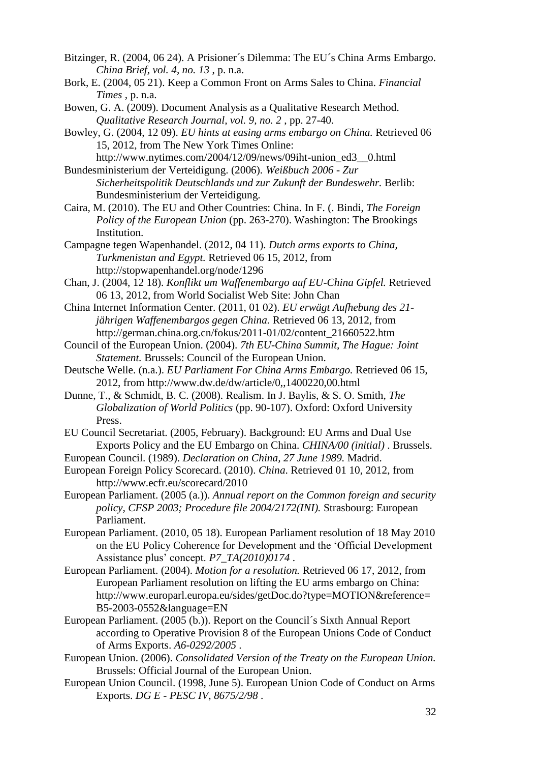- Bitzinger, R. (2004, 06 24). A Prisioner´s Dilemma: The EU´s China Arms Embargo. *China Brief, vol. 4, no. 13* , p. n.a.
- Bork, E. (2004, 05 21). Keep a Common Front on Arms Sales to China. *Financial Times* , p. n.a.
- Bowen, G. A. (2009). Document Analysis as a Qualitative Research Method. *Qualitative Research Journal, vol. 9, no. 2* , pp. 27-40.
- Bowley, G. (2004, 12 09). *EU hints at easing arms embargo on China.* Retrieved 06 15, 2012, from The New York Times Online:
- http://www.nytimes.com/2004/12/09/news/09iht-union\_ed3\_\_0.html Bundesministerium der Verteidigung. (2006). *Weißbuch 2006 - Zur* 
	- *Sicherheitspolitik Deutschlands und zur Zukunft der Bundeswehr.* Berlib: Bundesministerium der Verteidigung.
- Caira, M. (2010). The EU and Other Countries: China. In F. (. Bindi, *The Foreign Policy of the European Union* (pp. 263-270). Washington: The Brookings Institution.
- Campagne tegen Wapenhandel. (2012, 04 11). *Dutch arms exports to China, Turkmenistan and Egypt.* Retrieved 06 15, 2012, from http://stopwapenhandel.org/node/1296
- Chan, J. (2004, 12 18). *Konflikt um Waffenembargo auf EU-China Gipfel.* Retrieved 06 13, 2012, from World Socialist Web Site: John Chan
- China Internet Information Center. (2011, 01 02). *EU erwägt Aufhebung des 21 jährigen Waffenembargos gegen China.* Retrieved 06 13, 2012, from http://german.china.org.cn/fokus/2011-01/02/content\_21660522.htm
- Council of the European Union. (2004). *7th EU-China Summit, The Hague: Joint Statement.* Brussels: Council of the European Union.
- Deutsche Welle. (n.a.). *EU Parliament For China Arms Embargo.* Retrieved 06 15, 2012, from http://www.dw.de/dw/article/0,,1400220,00.html
- Dunne, T., & Schmidt, B. C. (2008). Realism. In J. Baylis, & S. O. Smith, *The Globalization of World Politics* (pp. 90-107). Oxford: Oxford University Press.
- EU Council Secretariat. (2005, February). Background: EU Arms and Dual Use Exports Policy and the EU Embargo on China. *CHINA/00 (initial)* . Brussels.
- European Council. (1989). *Declaration on China, 27 June 1989.* Madrid.
- European Foreign Policy Scorecard. (2010). *China*. Retrieved 01 10, 2012, from http://www.ecfr.eu/scorecard/2010
- European Parliament. (2005 (a.)). *Annual report on the Common foreign and security policy, CFSP 2003; Procedure file 2004/2172(INI).* Strasbourg: European Parliament.
- European Parliament. (2010, 05 18). European Parliament resolution of 18 May 2010 on the EU Policy Coherence for Development and the 'Official Development Assistance plus' concept. *P7\_TA(2010)0174* .
- European Parliament. (2004). *Motion for a resolution.* Retrieved 06 17, 2012, from European Parliament resolution on lifting the EU arms embargo on China: http://www.europarl.europa.eu/sides/getDoc.do?type=MOTION&reference= B5-2003-0552&language=EN
- European Parliament. (2005 (b.)). Report on the Council´s Sixth Annual Report according to Operative Provision 8 of the European Unions Code of Conduct of Arms Exports. *A6-0292/2005* .
- European Union. (2006). *Consolidated Version of the Treaty on the European Union.* Brussels: Official Journal of the European Union.
- European Union Council. (1998, June 5). European Union Code of Conduct on Arms Exports. *DG E - PESC IV, 8675/2/98* .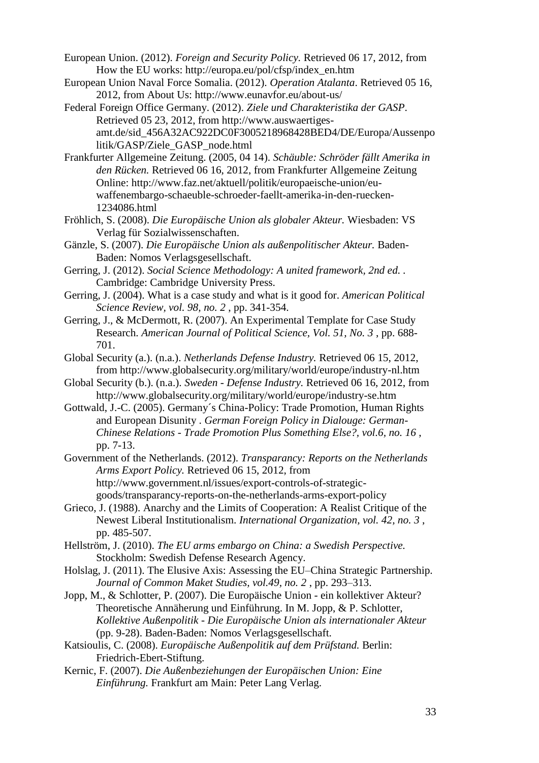European Union. (2012). *Foreign and Security Policy.* Retrieved 06 17, 2012, from How the EU works: http://europa.eu/pol/cfsp/index\_en.htm

European Union Naval Force Somalia. (2012). *Operation Atalanta*. Retrieved 05 16, 2012, from About Us: http://www.eunavfor.eu/about-us/

Federal Foreign Office Germany. (2012). *Ziele und Charakteristika der GASP*. Retrieved 05 23, 2012, from http://www.auswaertigesamt.de/sid\_456A32AC922DC0F3005218968428BED4/DE/Europa/Aussenpo litik/GASP/Ziele\_GASP\_node.html

Frankfurter Allgemeine Zeitung. (2005, 04 14). *Schäuble: Schröder fällt Amerika in den Rücken.* Retrieved 06 16, 2012, from Frankfurter Allgemeine Zeitung Online: http://www.faz.net/aktuell/politik/europaeische-union/euwaffenembargo-schaeuble-schroeder-faellt-amerika-in-den-ruecken-1234086.html

- Fröhlich, S. (2008). *Die Europäische Union als globaler Akteur.* Wiesbaden: VS Verlag für Sozialwissenschaften.
- Gänzle, S. (2007). *Die Europäische Union als außenpolitischer Akteur.* Baden-Baden: Nomos Verlagsgesellschaft.
- Gerring, J. (2012). *Social Science Methodology: A united framework, 2nd ed. .* Cambridge: Cambridge University Press.
- Gerring, J. (2004). What is a case study and what is it good for. *American Political Science Review, vol. 98, no. 2* , pp. 341-354.
- Gerring, J., & McDermott, R. (2007). An Experimental Template for Case Study Research. *American Journal of Political Science, Vol. 51, No. 3* , pp. 688- 701.
- Global Security (a.). (n.a.). *Netherlands Defense Industry.* Retrieved 06 15, 2012, from http://www.globalsecurity.org/military/world/europe/industry-nl.htm
- Global Security (b.). (n.a.). *Sweden - Defense Industry.* Retrieved 06 16, 2012, from http://www.globalsecurity.org/military/world/europe/industry-se.htm
- Gottwald, J.-C. (2005). Germany´s China-Policy: Trade Promotion, Human Rights and European Disunity . *German Foreign Policy in Dialouge: German-Chinese Relations - Trade Promotion Plus Something Else?, vol.6, no. 16* , pp. 7-13.
- Government of the Netherlands. (2012). *Transparancy: Reports on the Netherlands Arms Export Policy.* Retrieved 06 15, 2012, from http://www.government.nl/issues/export-controls-of-strategicgoods/transparancy-reports-on-the-netherlands-arms-export-policy
- Grieco, J. (1988). Anarchy and the Limits of Cooperation: A Realist Critique of the Newest Liberal Institutionalism. *International Organization, vol. 42, no. 3* , pp. 485-507.
- Hellström, J. (2010). *The EU arms embargo on China: a Swedish Perspective.* Stockholm: Swedish Defense Research Agency.
- Holslag, J. (2011). The Elusive Axis: Assessing the EU–China Strategic Partnership. *Journal of Common Maket Studies, vol.49, no. 2* , pp. 293–313.
- Jopp, M., & Schlotter, P. (2007). Die Europäische Union ein kollektiver Akteur? Theoretische Annäherung und Einführung. In M. Jopp, & P. Schlotter, *Kollektive Außenpolitik - Die Europäische Union als internationaler Akteur* (pp. 9-28). Baden-Baden: Nomos Verlagsgesellschaft.
- Katsioulis, C. (2008). *Europäische Außenpolitik auf dem Prüfstand.* Berlin: Friedrich-Ebert-Stiftung.
- Kernic, F. (2007). *Die Außenbeziehungen der Europäischen Union: Eine Einführung.* Frankfurt am Main: Peter Lang Verlag.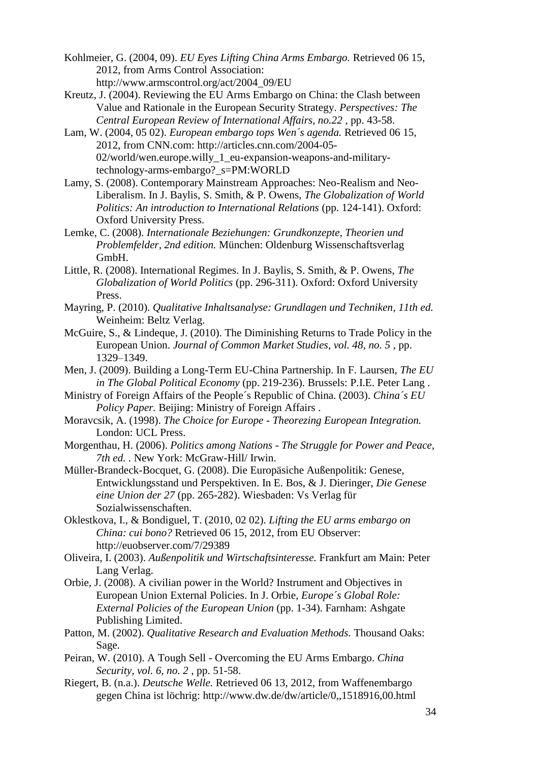- Kohlmeier, G. (2004, 09). *EU Eyes Lifting China Arms Embargo.* Retrieved 06 15, 2012, from Arms Control Association: http://www.armscontrol.org/act/2004\_09/EU
- Kreutz, J. (2004). Reviewing the EU Arms Embargo on China: the Clash between Value and Rationale in the European Security Strategy. *Perspectives: The Central European Review of International Affairs, no.22* , pp. 43-58.
- Lam, W. (2004, 05 02). *European embargo tops Wen´s agenda.* Retrieved 06 15, 2012, from CNN.com: http://articles.cnn.com/2004-05- 02/world/wen.europe.willy\_1\_eu-expansion-weapons-and-militarytechnology-arms-embargo?\_s=PM:WORLD
- Lamy, S. (2008). Contemporary Mainstream Approaches: Neo-Realism and Neo-Liberalism. In J. Baylis, S. Smith, & P. Owens, *The Globalization of World Politics: An introduction to International Relations* (pp. 124-141). Oxford: Oxford University Press.
- Lemke, C. (2008). *Internationale Beziehungen: Grundkonzepte, Theorien und Problemfelder, 2nd edition.* München: Oldenburg Wissenschaftsverlag GmbH.
- Little, R. (2008). International Regimes. In J. Baylis, S. Smith, & P. Owens, *The Globalization of World Politics* (pp. 296-311). Oxford: Oxford University Press.
- Mayring, P. (2010). *Qualitative Inhaltsanalyse: Grundlagen und Techniken, 11th ed.* Weinheim: Beltz Verlag.
- McGuire, S., & Lindeque, J. (2010). The Diminishing Returns to Trade Policy in the European Union. *Journal of Common Market Studies, vol. 48, no. 5* , pp. 1329–1349.
- Men, J. (2009). Building a Long-Term EU-China Partnership. In F. Laursen, *The EU in The Global Political Economy* (pp. 219-236). Brussels: P.I.E. Peter Lang .
- Ministry of Foreign Affairs of the People´s Republic of China. (2003). *China´s EU Policy Paper.* Beijing: Ministry of Foreign Affairs .
- Moravcsik, A. (1998). *The Choice for Europe - Theorezing European Integration.* London: UCL Press.
- Morgenthau, H. (2006). *Politics among Nations - The Struggle for Power and Peace, 7th ed. .* New York: McGraw-Hill/ Irwin.
- Müller-Brandeck-Bocquet, G. (2008). Die Europäsiche Außenpolitik: Genese, Entwicklungsstand und Perspektiven. In E. Bos, & J. Dieringer, *Die Genese eine Union der 27* (pp. 265-282). Wiesbaden: Vs Verlag für Sozialwissenschaften.
- Oklestkova, I., & Bondiguel, T. (2010, 02 02). *Lifting the EU arms embargo on China: cui bono?* Retrieved 06 15, 2012, from EU Observer: http://euobserver.com/7/29389
- Oliveira, I. (2003). *Außenpolitik und Wirtschaftsinteresse.* Frankfurt am Main: Peter Lang Verlag.
- Orbie, J. (2008). A civilian power in the World? Instrument and Objectives in European Union External Policies. In J. Orbie, *Europe´s Global Role: External Policies of the European Union* (pp. 1-34). Farnham: Ashgate Publishing Limited.
- Patton, M. (2002). *Qualitative Research and Evaluation Methods.* Thousand Oaks: Sage.
- Peiran, W. (2010). A Tough Sell Overcoming the EU Arms Embargo. *China Security, vol. 6, no. 2* , pp. 51-58.
- Riegert, B. (n.a.). *Deutsche Welle.* Retrieved 06 13, 2012, from Waffenembargo gegen China ist löchrig: http://www.dw.de/dw/article/0,,1518916,00.html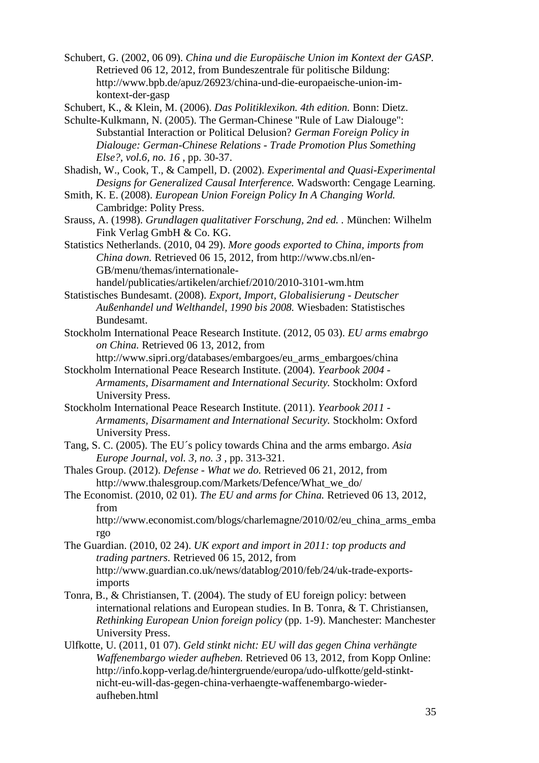Schubert, G. (2002, 06 09). *China und die Europäische Union im Kontext der GASP.* Retrieved 06 12, 2012, from Bundeszentrale für politische Bildung: http://www.bpb.de/apuz/26923/china-und-die-europaeische-union-imkontext-der-gasp

Schubert, K., & Klein, M. (2006). *Das Politiklexikon. 4th edition.* Bonn: Dietz.

Schulte-Kulkmann, N. (2005). The German-Chinese "Rule of Law Dialouge": Substantial Interaction or Political Delusion? *German Foreign Policy in Dialouge: German-Chinese Relations - Trade Promotion Plus Something Else?, vol.6, no. 16* , pp. 30-37.

Shadish, W., Cook, T., & Campell, D. (2002). *Experimental and Quasi-Experimental Designs for Generalized Causal Interference.* Wadsworth: Cengage Learning.

Smith, K. E. (2008). *European Union Foreign Policy In A Changing World.* Cambridge: Polity Press.

Srauss, A. (1998). *Grundlagen qualitativer Forschung, 2nd ed. .* München: Wilhelm Fink Verlag GmbH & Co. KG.

Statistics Netherlands. (2010, 04 29). *More goods exported to China, imports from China down.* Retrieved 06 15, 2012, from http://www.cbs.nl/en-GB/menu/themas/internationale-

handel/publicaties/artikelen/archief/2010/2010-3101-wm.htm

Statistisches Bundesamt. (2008). *Export, Import, Globalisierung - Deutscher Außenhandel und Welthandel, 1990 bis 2008.* Wiesbaden: Statistisches Bundesamt.

Stockholm International Peace Research Institute. (2012, 05 03). *EU arms emabrgo on China.* Retrieved 06 13, 2012, from

http://www.sipri.org/databases/embargoes/eu\_arms\_embargoes/china Stockholm International Peace Research Institute. (2004). *Yearbook 2004 -*

*Armaments, Disarmament and International Security.* Stockholm: Oxford University Press.

Stockholm International Peace Research Institute. (2011). *Yearbook 2011 - Armaments, Disarmament and International Security.* Stockholm: Oxford University Press.

Tang, S. C. (2005). The EU´s policy towards China and the arms embargo. *Asia Europe Journal, vol. 3, no. 3* , pp. 313-321.

Thales Group. (2012). *Defense - What we do.* Retrieved 06 21, 2012, from http://www.thalesgroup.com/Markets/Defence/What\_we\_do/

The Economist. (2010, 02 01). *The EU and arms for China.* Retrieved 06 13, 2012, from

http://www.economist.com/blogs/charlemagne/2010/02/eu\_china\_arms\_emba rgo

The Guardian. (2010, 02 24). *UK export and import in 2011: top products and trading partners.* Retrieved 06 15, 2012, from http://www.guardian.co.uk/news/datablog/2010/feb/24/uk-trade-exportsimports

Tonra, B., & Christiansen, T. (2004). The study of EU foreign policy: between international relations and European studies. In B. Tonra, & T. Christiansen, *Rethinking European Union foreign policy* (pp. 1-9). Manchester: Manchester University Press.

Ulfkotte, U. (2011, 01 07). *Geld stinkt nicht: EU will das gegen China verhängte Waffenembargo wieder aufheben.* Retrieved 06 13, 2012, from Kopp Online: http://info.kopp-verlag.de/hintergruende/europa/udo-ulfkotte/geld-stinktnicht-eu-will-das-gegen-china-verhaengte-waffenembargo-wiederaufheben.html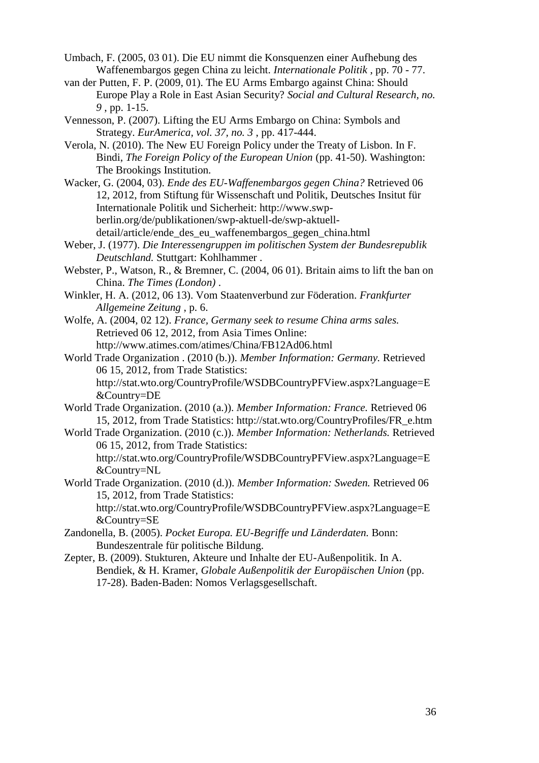Umbach, F. (2005, 03 01). Die EU nimmt die Konsquenzen einer Aufhebung des Waffenembargos gegen China zu leicht. *Internationale Politik* , pp. 70 - 77.

- van der Putten, F. P. (2009, 01). The EU Arms Embargo against China: Should Europe Play a Role in East Asian Security? *Social and Cultural Research, no. 9* , pp. 1-15.
- Vennesson, P. (2007). Lifting the EU Arms Embargo on China: Symbols and Strategy. *EurAmerica, vol. 37, no. 3* , pp. 417-444.
- Verola, N. (2010). The New EU Foreign Policy under the Treaty of Lisbon. In F. Bindi, *The Foreign Policy of the European Union* (pp. 41-50). Washington: The Brookings Institution.
- Wacker, G. (2004, 03). *Ende des EU-Waffenembargos gegen China?* Retrieved 06 12, 2012, from Stiftung für Wissenschaft und Politik, Deutsches Insitut für Internationale Politik und Sicherheit: http://www.swpberlin.org/de/publikationen/swp-aktuell-de/swp-aktuelldetail/article/ende\_des\_eu\_waffenembargos\_gegen\_china.html
- Weber, J. (1977). *Die Interessengruppen im politischen System der Bundesrepublik Deutschland.* Stuttgart: Kohlhammer .
- Webster, P., Watson, R., & Bremner, C. (2004, 06 01). Britain aims to lift the ban on China. *The Times (London)* .
- Winkler, H. A. (2012, 06 13). Vom Staatenverbund zur Föderation. *Frankfurter Allgemeine Zeitung* , p. 6.
- Wolfe, A. (2004, 02 12). *France, Germany seek to resume China arms sales.* Retrieved 06 12, 2012, from Asia Times Online: http://www.atimes.com/atimes/China/FB12Ad06.html
- World Trade Organization . (2010 (b.)). *Member Information: Germany.* Retrieved 06 15, 2012, from Trade Statistics: http://stat.wto.org/CountryProfile/WSDBCountryPFView.aspx?Language=E &Country=DE
- World Trade Organization. (2010 (a.)). *Member Information: France.* Retrieved 06 15, 2012, from Trade Statistics: http://stat.wto.org/CountryProfiles/FR\_e.htm
- World Trade Organization. (2010 (c.)). *Member Information: Netherlands.* Retrieved 06 15, 2012, from Trade Statistics: http://stat.wto.org/CountryProfile/WSDBCountryPFView.aspx?Language=E
- &Country=NL World Trade Organization. (2010 (d.)). *Member Information: Sweden.* Retrieved 06 15, 2012, from Trade Statistics: http://stat.wto.org/CountryProfile/WSDBCountryPFView.aspx?Language=E

&Country=SE

- Zandonella, B. (2005). *Pocket Europa. EU-Begriffe und Länderdaten.* Bonn: Bundeszentrale für politische Bildung.
- Zepter, B. (2009). Stukturen, Akteure und Inhalte der EU-Außenpolitik. In A. Bendiek, & H. Kramer, *Globale Außenpolitik der Europäischen Union* (pp. 17-28). Baden-Baden: Nomos Verlagsgesellschaft.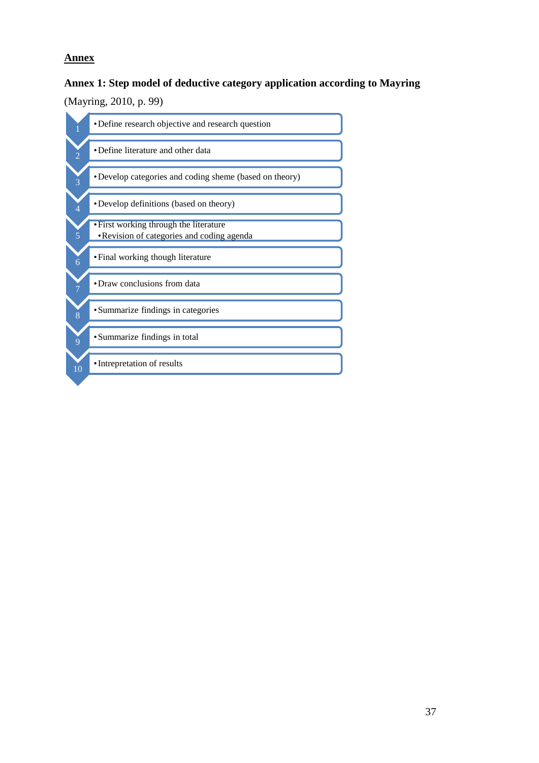# <span id="page-39-0"></span>**Annex**

### **Annex 1: Step model of deductive category application according to Mayring**

### (Mayring, 2010, p. 99)

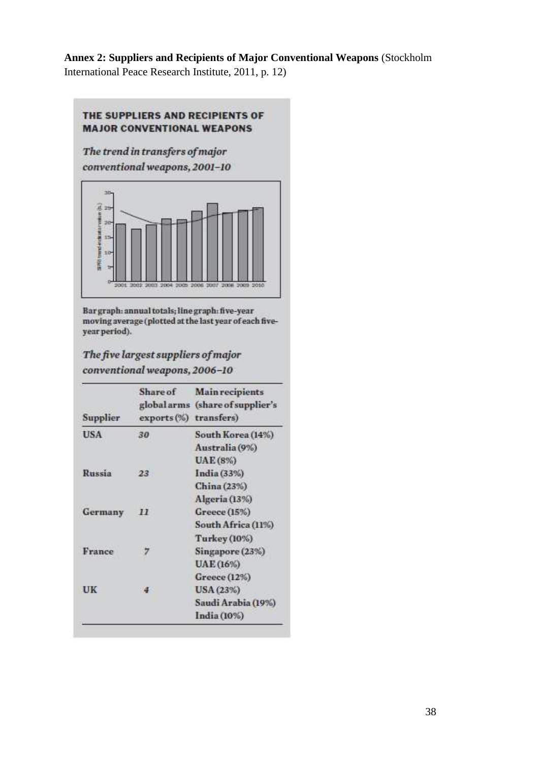# **Annex 2: Suppliers and Recipients of Major Conventional Weapons** (Stockholm

International Peace Research Institute, 2011, p. 12)

### THE SUPPLIERS AND RECIPIENTS OF **MAJOR CONVENTIONAL WEAPONS**

The trend in transfers of major conventional weapons, 2001-10



Bar graph: annual totals; line graph: five-year moving average (plotted at the last year of each fiveyear period).

# The five largest suppliers of major conventional weapons, 2006-10

| Supplier | Share of<br>exports (%) transfers) | <b>Main recipients</b><br>global arms (share of supplier's |  |  |
|----------|------------------------------------|------------------------------------------------------------|--|--|
| USA.     | 30                                 | South Korea (14%)                                          |  |  |
|          |                                    | Australia (9%)                                             |  |  |
|          |                                    | <b>UAE</b> (8%)                                            |  |  |
| Russia   | 23                                 | India (33%)                                                |  |  |
|          |                                    | China (23%)                                                |  |  |
|          |                                    | Algeria (13%)                                              |  |  |
| Germany  | 11                                 | Greece (15%)                                               |  |  |
|          |                                    | South Africa (11%)                                         |  |  |
|          |                                    | <b>Turkey</b> (10%)                                        |  |  |
| France   |                                    | Singapore (23%)                                            |  |  |
|          |                                    | UAE (16%)                                                  |  |  |
|          |                                    | Greece (12%)                                               |  |  |
| UK       | $\frac{4}{3}$                      | USA (23%)                                                  |  |  |
|          |                                    | Saudi Arabia (19%)                                         |  |  |
|          |                                    | India (10%)                                                |  |  |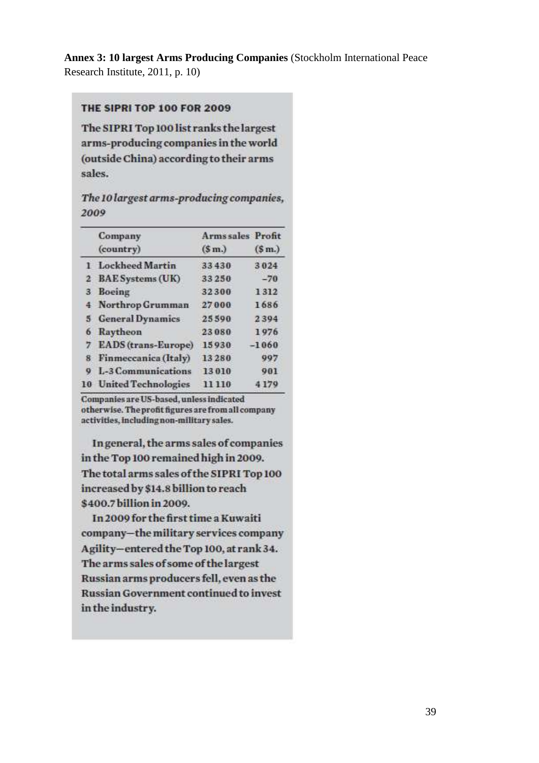**Annex 3: 10 largest Arms Producing Companies** (Stockholm International Peace Research Institute, 2011, p. 10)

### THE SIPRI TOP 100 FOR 2009

The SIPRI Top 100 list ranks the largest arms-producing companies in the world (outside China) according to their arms sales.

The 10 largest arms-producing companies, 2009

|    | Company                    | <b>Arms sales Profit</b> |                   |
|----|----------------------------|--------------------------|-------------------|
|    | (country)                  | (S <sub>m</sub> )        | (S <sub>m</sub> ) |
|    | 1 Lockheed Martin          | 33430                    | 3024              |
|    | 2 BAE Systems (UK)         | 33250                    | $-70$             |
|    | 3 Boeing                   | 32300                    | 1312              |
|    | 4 Northrop Grumman         | 27000                    | 1686              |
|    | 5 General Dynamics         | 25590                    | 2394              |
| 6  | Raytheon                   | 23080                    | 1976              |
|    | EADS (trans-Europe)        | 15930                    | $-1060$           |
| 8  | Finmeccanica (Italy)       | 13280                    | 997               |
|    | <b>L-3 Communications</b>  | 13010                    | 901               |
| 10 | <b>United Technologies</b> | 11110                    | 4179              |

Companies are US-based, unless indicated otherwise. The profit figures are from all company activities, including non-military sales.

In general, the arms sales of companies in the Top 100 remained high in 2009. The total arms sales of the SIPRI Top 100 increased by \$14.8 billion to reach \$400.7 billion in 2009.

In 2009 for the first time a Kuwaiti company-the military services company Agility-entered the Top 100, at rank 34. The arms sales of some of the largest Russian arms producers fell, even as the **Russian Government continued to invest** in the industry.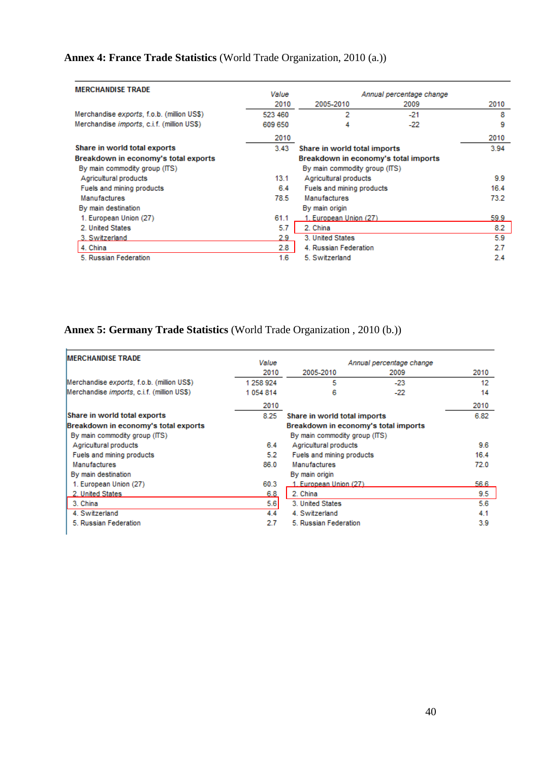# **Annex 4: France Trade Statistics** (World Trade Organization, 2010 (a.))

| <b>MERCHANDISE TRADE</b>                           | Value<br>Annual percentage change |                                      |       |      |
|----------------------------------------------------|-----------------------------------|--------------------------------------|-------|------|
|                                                    | 2010                              | 2005-2010                            | 2009  | 2010 |
| Merchandise exports, f.o.b. (million US\$)         | 523 460                           | 2                                    | $-21$ | 8    |
| Merchandise <i>imports</i> , c.i.f. (million US\$) | 609 650                           | 4                                    | $-22$ | 9    |
|                                                    | 2010                              |                                      |       | 2010 |
| Share in world total exports                       | 3.43                              | Share in world total imports         |       | 3.94 |
| Breakdown in economy's total exports               |                                   | Breakdown in economy's total imports |       |      |
| By main commodity group (ITS)                      |                                   | By main commodity group (ITS)        |       |      |
| Agricultural products                              | 13.1                              | Agricultural products                | 9.9   |      |
| Fuels and mining products                          | 6.4                               | Fuels and mining products            | 16.4  |      |
| Manufactures                                       | 78.5                              | <b>Manufactures</b>                  | 73.2  |      |
| By main destination                                |                                   | By main origin                       |       |      |
| 1. European Union (27)                             | 61.1                              | 1. European Union (27)               |       | 59.9 |
| 2. United States                                   | 5.7                               | 2. China                             |       | 8.2  |
| 3. Switzerland                                     | 2.9                               | 3. United States                     |       | 5.9  |
| 4. China                                           | 2.8                               | 4. Russian Federation<br>2.7         |       |      |
| 5. Russian Federation                              | 1.6                               | 5. Switzerland                       |       | 2.4  |

# **Annex 5: Germany Trade Statistics** (World Trade Organization , 2010 (b.))

| <b>IMERCHANDISE TRADE</b>                          | Value     |                                      | Annual percentage change |      |
|----------------------------------------------------|-----------|--------------------------------------|--------------------------|------|
|                                                    | 2010      | 2005-2010                            | 2009                     | 2010 |
| Merchandise exports, f.o.b. (million US\$)         | 1 258 924 | 5                                    | $-23$                    | 12   |
| Merchandise <i>imports</i> , c.i.f. (million US\$) | 1054814   | 6                                    | -22                      | 14   |
|                                                    | 2010      |                                      |                          | 2010 |
| Share in world total exports                       | 8.25      | Share in world total imports         |                          | 6.82 |
| Breakdown in economy's total exports               |           | Breakdown in economy's total imports |                          |      |
| By main commodity group (ITS)                      |           | By main commodity group (ITS)        |                          |      |
| Agricultural products                              | 64        | Agricultural products                | 9.6                      |      |
| Fuels and mining products                          | 5.2       | Fuels and mining products            | 16.4                     |      |
| <b>Manufactures</b>                                | 86.0      | <b>Manufactures</b>                  |                          | 72.0 |
| By main destination                                |           | By main origin                       |                          |      |
| 1. European Union (27)                             | 60.3      | 1. European Union (27)               |                          | 56.6 |
| 2. United States                                   | 6.8       | 2. China                             |                          | 9.5  |
| 3. China                                           | 5.6       | 3. United States                     |                          | 5.6  |
| 4. Switzerland                                     | 4.4       | 4. Switzerland                       |                          | 4.1  |
| 5. Russian Federation                              | 2.7       | 5. Russian Federation                |                          | 3.9  |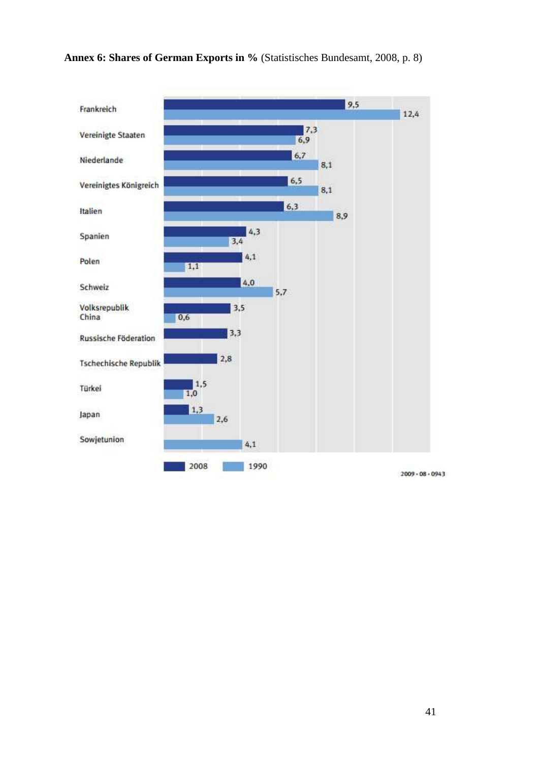

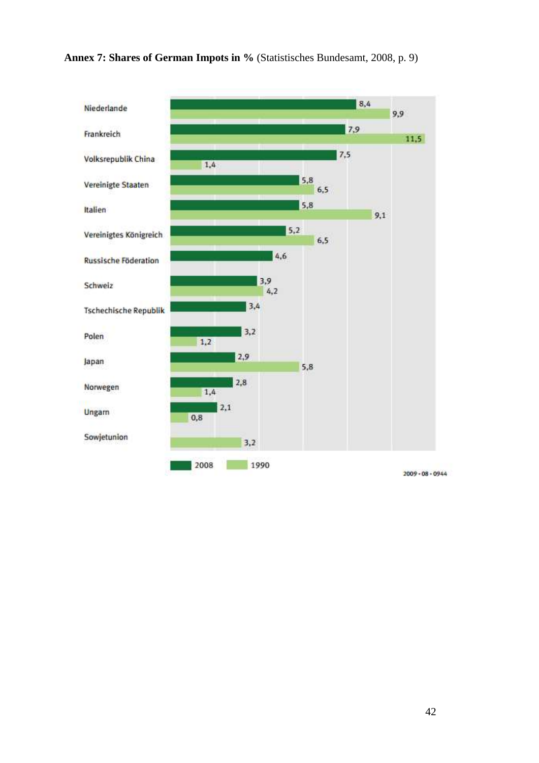**Annex 7: Shares of German Impots in %** (Statistisches Bundesamt, 2008, p. 9)



 $2009 - 08 - 0944$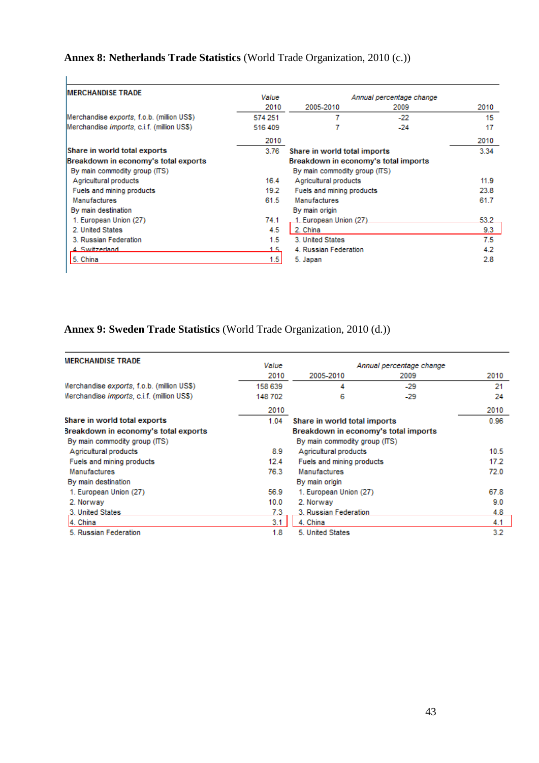# **Annex 8: Netherlands Trade Statistics** (World Trade Organization, 2010 (c.))

| <b>IMERCHANDISE TRADE</b>                          | Value   | Annual percentage change             |       |      |
|----------------------------------------------------|---------|--------------------------------------|-------|------|
|                                                    | 2010    | 2005-2010                            | 2009  | 2010 |
| Merchandise exports, f.o.b. (million US\$)         | 574 251 |                                      | $-22$ | 15   |
| Merchandise <i>imports</i> , c.i.f. (million US\$) | 516 409 |                                      | $-24$ | 17   |
|                                                    | 2010    |                                      |       | 2010 |
| Share in world total exports                       | 3.76    | Share in world total imports         |       | 3.34 |
| Breakdown in economy's total exports               |         | Breakdown in economy's total imports |       |      |
| By main commodity group (ITS)                      |         | By main commodity group (ITS)        |       |      |
| Agricultural products                              | 16.4    | Agricultural products                | 11.9  |      |
| Fuels and mining products                          | 19.2    | Fuels and mining products            |       | 23.8 |
| <b>Manufactures</b>                                | 61.5    | <b>Manufactures</b>                  | 61.7  |      |
| By main destination                                |         | By main origin                       |       |      |
| 1. European Union (27)                             | 74.1    | 1. European Union (27)               |       | 53.2 |
| 2. United States                                   | 4.5     | 2. China                             |       | 9.3  |
| 3. Russian Federation                              | 1.5     | 3. United States                     |       | 7.5  |
| 4. Switzerland                                     | 1.5     | 4. Russian Federation                |       | 4.2  |
| 5. China                                           | 1.5     | 5. Japan                             |       | 2.8  |

# **Annex 9: Sweden Trade Statistics** (World Trade Organization, 2010 (d.))

| <b>MERCHANDISE TRADE</b>                           | Value   |                                      | Annual percentage change |      |
|----------------------------------------------------|---------|--------------------------------------|--------------------------|------|
|                                                    | 2010    | 2005-2010                            | 2009                     | 2010 |
| Merchandise exports, f.o.b. (million US\$)         | 158 639 | 4                                    | -29                      | 21   |
| Merchandise <i>imports</i> , c.i.f. (million US\$) | 148 702 | 6                                    | -29                      | 24   |
|                                                    | 2010    |                                      |                          | 2010 |
| Share in world total exports                       | 1.04    | Share in world total imports         |                          | 0.96 |
| Breakdown in economy's total exports               |         | Breakdown in economy's total imports |                          |      |
| By main commodity group (ITS)                      |         | By main commodity group (ITS)        |                          |      |
| Agricultural products                              | 8.9     | Agricultural products                |                          | 10.5 |
| Fuels and mining products                          | 12.4    | Fuels and mining products            |                          | 17.2 |
| <b>Manufactures</b>                                | 76.3    | <b>Manufactures</b>                  |                          | 72.0 |
| By main destination                                |         | By main origin                       |                          |      |
| 1. European Union (27)                             | 56.9    | 1. European Union (27)               |                          | 67.8 |
| 2. Norway                                          | 10.0    | 2. Norway                            |                          | 9.0  |
| 3. United States                                   | 7.3     | 3. Russian Federation                |                          | 4.8  |
| 4. China                                           | 3.1     | 4. China                             |                          | 4.1  |
| 5. Russian Federation                              | 1.8     | 5. United States                     |                          | 3.2  |